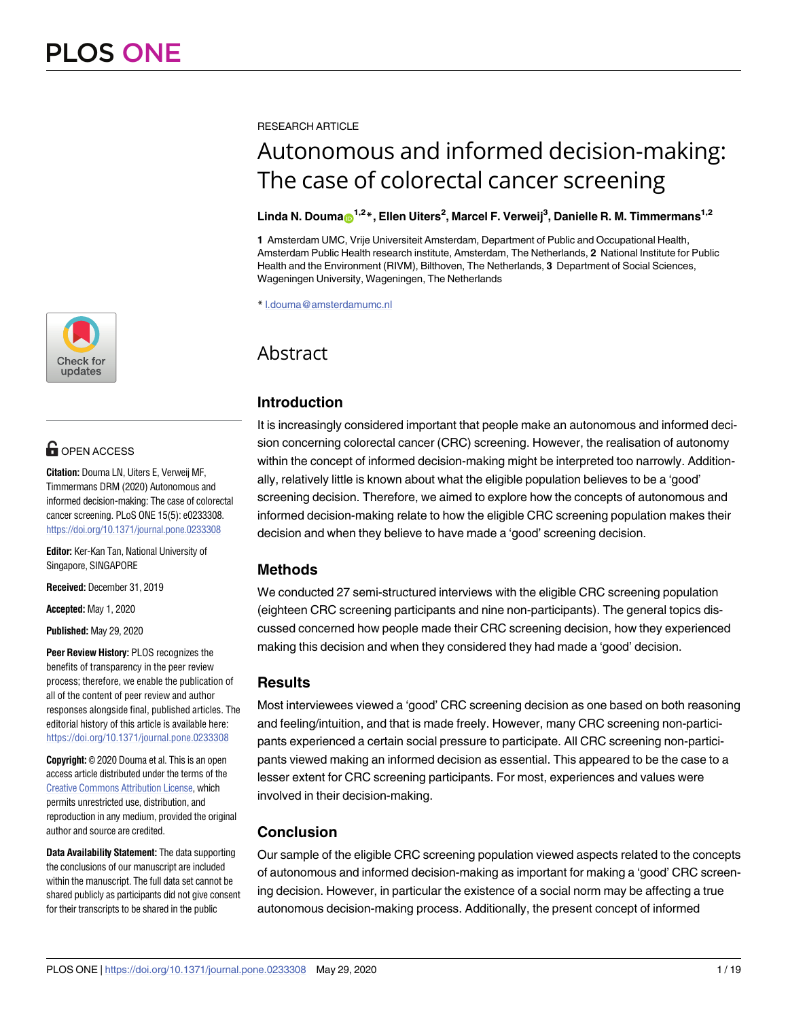

# **OPEN ACCESS**

**Citation:** Douma LN, Uiters E, Verweij MF, Timmermans DRM (2020) Autonomous and informed decision-making: The case of colorectal cancer screening. PLoS ONE 15(5): e0233308. <https://doi.org/10.1371/journal.pone.0233308>

**Editor:** Ker-Kan Tan, National University of Singapore, SINGAPORE

**Received:** December 31, 2019

**Accepted:** May 1, 2020

**Published:** May 29, 2020

**Peer Review History:** PLOS recognizes the benefits of transparency in the peer review process; therefore, we enable the publication of all of the content of peer review and author responses alongside final, published articles. The editorial history of this article is available here: <https://doi.org/10.1371/journal.pone.0233308>

**Copyright:** © 2020 Douma et al. This is an open access article distributed under the terms of the Creative Commons [Attribution](http://creativecommons.org/licenses/by/4.0/) License, which permits unrestricted use, distribution, and reproduction in any medium, provided the original author and source are credited.

**Data Availability Statement:** The data supporting the conclusions of our manuscript are included within the manuscript. The full data set cannot be shared publicly as participants did not give consent for their transcripts to be shared in the public

RESEARCH ARTICLE

# Autonomous and informed decision-making: The case of colorectal cancer screening

# $\blacksquare$ Linda N. Douma $\blacksquare^{1,2*}$ , Ellen Uiters<sup>2</sup>, Marcel F. Verweij $^3$ , Danielle R. M. Timmermans $^{1,2}$

**1** Amsterdam UMC, Vrije Universiteit Amsterdam, Department of Public and Occupational Health, Amsterdam Public Health research institute, Amsterdam, The Netherlands, **2** National Institute for Public Health and the Environment (RIVM), Bilthoven, The Netherlands, **3** Department of Social Sciences, Wageningen University, Wageningen, The Netherlands

\* l.douma@amsterdamumc.nl

# Abstract

# **Introduction**

It is increasingly considered important that people make an autonomous and informed decision concerning colorectal cancer (CRC) screening. However, the realisation of autonomy within the concept of informed decision-making might be interpreted too narrowly. Additionally, relatively little is known about what the eligible population believes to be a 'good' screening decision. Therefore, we aimed to explore how the concepts of autonomous and informed decision-making relate to how the eligible CRC screening population makes their decision and when they believe to have made a 'good' screening decision.

# **Methods**

We conducted 27 semi-structured interviews with the eligible CRC screening population (eighteen CRC screening participants and nine non-participants). The general topics discussed concerned how people made their CRC screening decision, how they experienced making this decision and when they considered they had made a 'good' decision.

# **Results**

Most interviewees viewed a 'good' CRC screening decision as one based on both reasoning and feeling/intuition, and that is made freely. However, many CRC screening non-participants experienced a certain social pressure to participate. All CRC screening non-participants viewed making an informed decision as essential. This appeared to be the case to a lesser extent for CRC screening participants. For most, experiences and values were involved in their decision-making.

# **Conclusion**

Our sample of the eligible CRC screening population viewed aspects related to the concepts of autonomous and informed decision-making as important for making a 'good' CRC screening decision. However, in particular the existence of a social norm may be affecting a true autonomous decision-making process. Additionally, the present concept of informed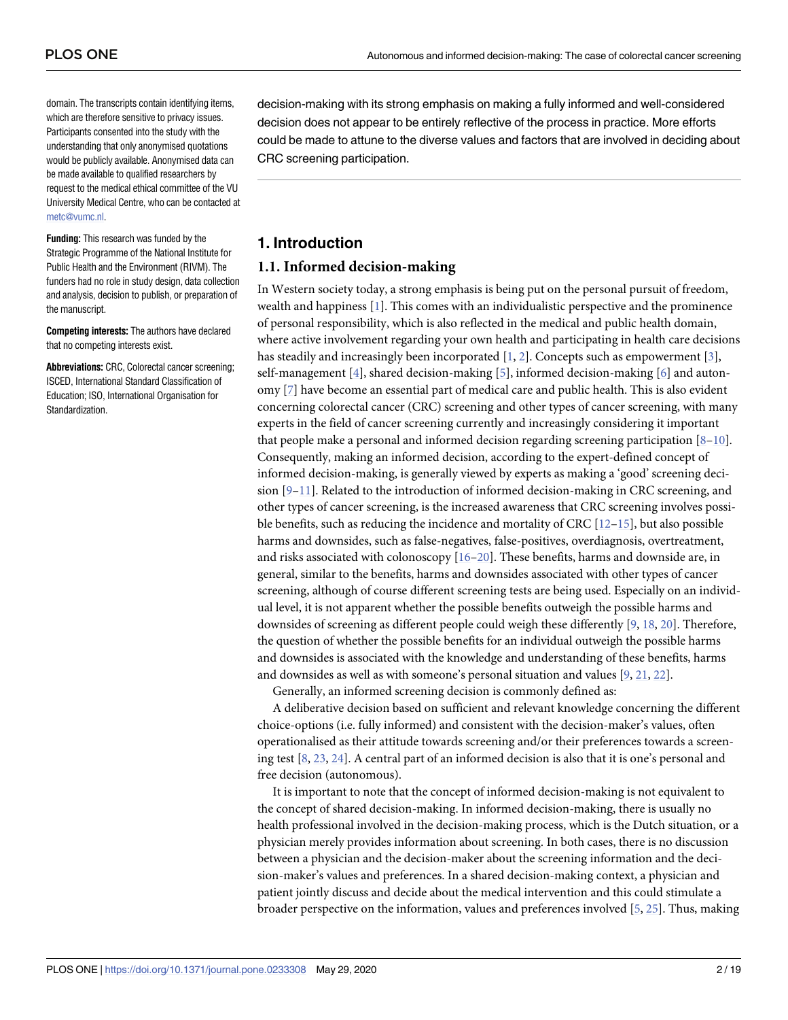<span id="page-1-0"></span>domain. The transcripts contain identifying items, which are therefore sensitive to privacy issues. Participants consented into the study with the understanding that only anonymised quotations would be publicly available. Anonymised data can be made available to qualified researchers by request to the medical ethical committee of the VU University Medical Centre, who can be contacted at [metc@vumc.nl.](mailto:metc@vumc.nl)

**Funding:** This research was funded by the Strategic Programme of the National Institute for Public Health and the Environment (RIVM). The funders had no role in study design, data collection and analysis, decision to publish, or preparation of the manuscript.

**Competing interests:** The authors have declared that no competing interests exist.

**Abbreviations:** CRC, Colorectal cancer screening; ISCED, International Standard Classification of Education; ISO, International Organisation for Standardization.

decision-making with its strong emphasis on making a fully informed and well-considered decision does not appear to be entirely reflective of the process in practice. More efforts could be made to attune to the diverse values and factors that are involved in deciding about CRC screening participation.

# **1. Introduction**

## **1.1. Informed decision-making**

In Western society today, a strong emphasis is being put on the personal pursuit of freedom, wealth and happiness [[1\]](#page-16-0). This comes with an individualistic perspective and the prominence of personal responsibility, which is also reflected in the medical and public health domain, where active involvement regarding your own health and participating in health care decisions has steadily and increasingly been incorporated  $[1, 2]$  $[1, 2]$  $[1, 2]$  $[1, 2]$ . Concepts such as empowerment  $[3]$  $[3]$ , self-management [\[4](#page-16-0)], shared decision-making [\[5](#page-16-0)], informed decision-making [\[6](#page-16-0)] and autonomy [\[7](#page-16-0)] have become an essential part of medical care and public health. This is also evident concerning colorectal cancer (CRC) screening and other types of cancer screening, with many experts in the field of cancer screening currently and increasingly considering it important that people make a personal and informed decision regarding screening participation  $[8-10]$ . Consequently, making an informed decision, according to the expert-defined concept of informed decision-making, is generally viewed by experts as making a 'good' screening decision [\[9–11\]](#page-16-0). Related to the introduction of informed decision-making in CRC screening, and other types of cancer screening, is the increased awareness that CRC screening involves possible benefits, such as reducing the incidence and mortality of CRC  $[12-15]$ , but also possible harms and downsides, such as false-negatives, false-positives, overdiagnosis, overtreatment, and risks associated with colonoscopy [\[16–](#page-16-0)[20](#page-17-0)]. These benefits, harms and downside are, in general, similar to the benefits, harms and downsides associated with other types of cancer screening, although of course different screening tests are being used. Especially on an individual level, it is not apparent whether the possible benefits outweigh the possible harms and downsides of screening as different people could weigh these differently [\[9,](#page-16-0) [18,](#page-17-0) [20\]](#page-17-0). Therefore, the question of whether the possible benefits for an individual outweigh the possible harms and downsides is associated with the knowledge and understanding of these benefits, harms and downsides as well as with someone's personal situation and values [[9,](#page-16-0) [21,](#page-17-0) [22\]](#page-17-0).

Generally, an informed screening decision is commonly defined as:

A deliberative decision based on sufficient and relevant knowledge concerning the different choice-options (i.e. fully informed) and consistent with the decision-maker's values, often operationalised as their attitude towards screening and/or their preferences towards a screening test [\[8](#page-16-0), [23](#page-17-0), [24](#page-17-0)]. A central part of an informed decision is also that it is one's personal and free decision (autonomous).

It is important to note that the concept of informed decision-making is not equivalent to the concept of shared decision-making. In informed decision-making, there is usually no health professional involved in the decision-making process, which is the Dutch situation, or a physician merely provides information about screening. In both cases, there is no discussion between a physician and the decision-maker about the screening information and the decision-maker's values and preferences. In a shared decision-making context, a physician and patient jointly discuss and decide about the medical intervention and this could stimulate a broader perspective on the information, values and preferences involved [[5,](#page-16-0) [25\]](#page-17-0). Thus, making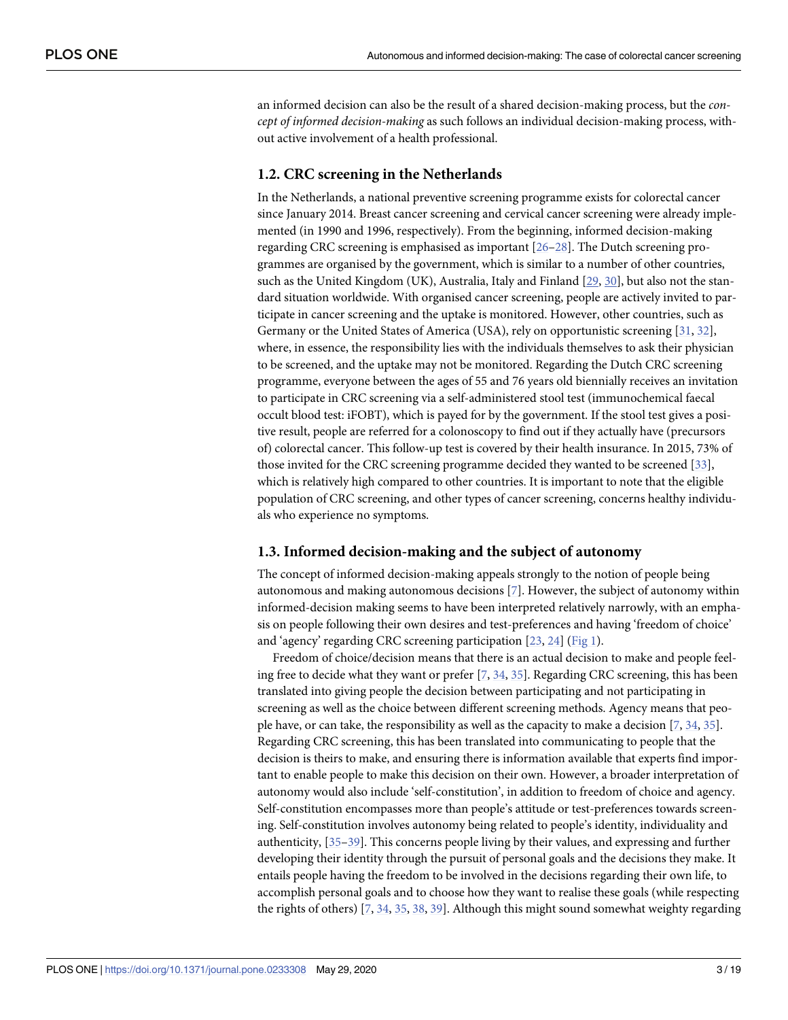<span id="page-2-0"></span>an informed decision can also be the result of a shared decision-making process, but the *concept of informed decision-making* as such follows an individual decision-making process, without active involvement of a health professional.

# **1.2. CRC screening in the Netherlands**

In the Netherlands, a national preventive screening programme exists for colorectal cancer since January 2014. Breast cancer screening and cervical cancer screening were already implemented (in 1990 and 1996, respectively). From the beginning, informed decision-making regarding CRC screening is emphasised as important [[26–28\]](#page-17-0). The Dutch screening programmes are organised by the government, which is similar to a number of other countries, such as the United Kingdom (UK), Australia, Italy and Finland [[29](#page-17-0), [30](#page-17-0)], but also not the standard situation worldwide. With organised cancer screening, people are actively invited to participate in cancer screening and the uptake is monitored. However, other countries, such as Germany or the United States of America (USA), rely on opportunistic screening [[31](#page-17-0), [32](#page-17-0)], where, in essence, the responsibility lies with the individuals themselves to ask their physician to be screened, and the uptake may not be monitored. Regarding the Dutch CRC screening programme, everyone between the ages of 55 and 76 years old biennially receives an invitation to participate in CRC screening via a self-administered stool test (immunochemical faecal occult blood test: iFOBT), which is payed for by the government. If the stool test gives a positive result, people are referred for a colonoscopy to find out if they actually have (precursors of) colorectal cancer. This follow-up test is covered by their health insurance. In 2015, 73% of those invited for the CRC screening programme decided they wanted to be screened [\[33\]](#page-17-0), which is relatively high compared to other countries. It is important to note that the eligible population of CRC screening, and other types of cancer screening, concerns healthy individuals who experience no symptoms.

## **1.3. Informed decision-making and the subject of autonomy**

The concept of informed decision-making appeals strongly to the notion of people being autonomous and making autonomous decisions [\[7](#page-16-0)]. However, the subject of autonomy within informed-decision making seems to have been interpreted relatively narrowly, with an emphasis on people following their own desires and test-preferences and having 'freedom of choice' and 'agency' regarding CRC screening participation [[23](#page-17-0), [24](#page-17-0)] [\(Fig](#page-3-0) 1).

Freedom of choice/decision means that there is an actual decision to make and people feeling free to decide what they want or prefer [[7,](#page-16-0) [34,](#page-17-0) [35\]](#page-17-0). Regarding CRC screening, this has been translated into giving people the decision between participating and not participating in screening as well as the choice between different screening methods. Agency means that people have, or can take, the responsibility as well as the capacity to make a decision [[7](#page-16-0), [34](#page-17-0), [35](#page-17-0)]. Regarding CRC screening, this has been translated into communicating to people that the decision is theirs to make, and ensuring there is information available that experts find important to enable people to make this decision on their own. However, a broader interpretation of autonomy would also include 'self-constitution', in addition to freedom of choice and agency. Self-constitution encompasses more than people's attitude or test-preferences towards screening. Self-constitution involves autonomy being related to people's identity, individuality and authenticity, [[35–39\]](#page-17-0). This concerns people living by their values, and expressing and further developing their identity through the pursuit of personal goals and the decisions they make. It entails people having the freedom to be involved in the decisions regarding their own life, to accomplish personal goals and to choose how they want to realise these goals (while respecting the rights of others) [[7](#page-16-0), [34](#page-17-0), [35](#page-17-0), [38](#page-17-0), [39\]](#page-17-0). Although this might sound somewhat weighty regarding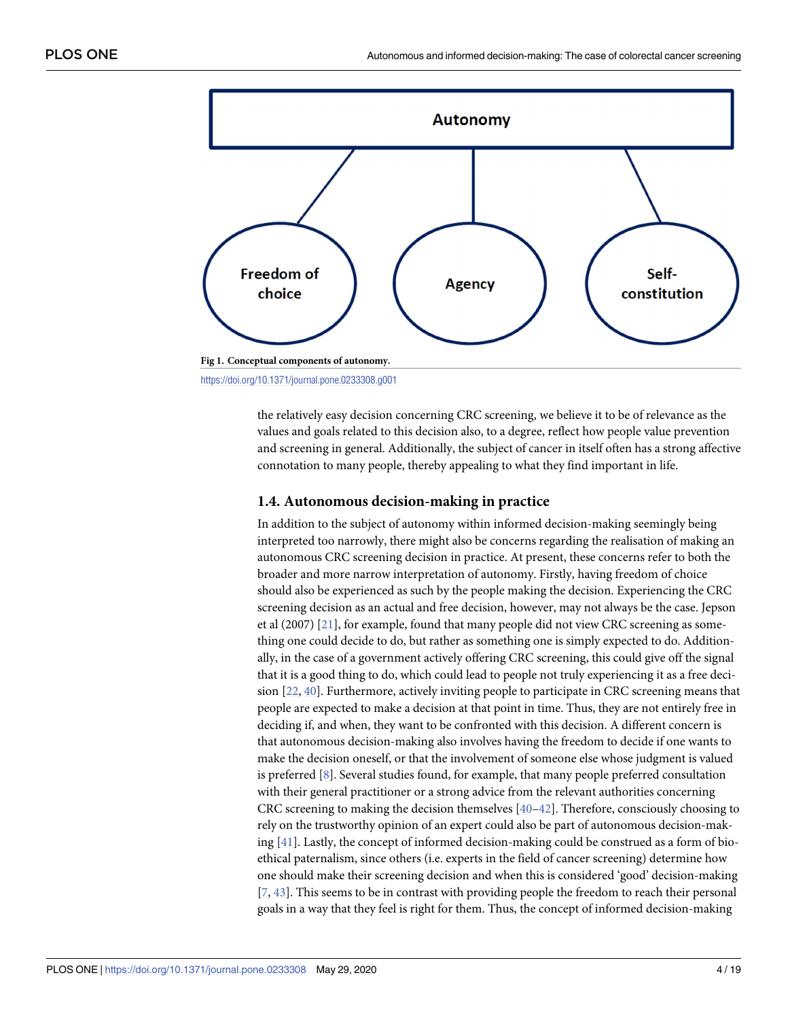<span id="page-3-0"></span>

<https://doi.org/10.1371/journal.pone.0233308.g001>

the relatively easy decision concerning CRC screening, we believe it to be of relevance as the values and goals related to this decision also, to a degree, reflect how people value prevention and screening in general. Additionally, the subject of cancer in itself often has a strong affective connotation to many people, thereby appealing to what they find important in life.

#### **1.4. Autonomous decision-making in practice**

In addition to the subject of autonomy within informed decision-making seemingly being interpreted too narrowly, there might also be concerns regarding the realisation of making an autonomous CRC screening decision in practice. At present, these concerns refer to both the broader and more narrow interpretation of autonomy. Firstly, having freedom of choice should also be experienced as such by the people making the decision. Experiencing the CRC screening decision as an actual and free decision, however, may not always be the case. Jepson et al (2007) [[21](#page-17-0)], for example, found that many people did not view CRC screening as something one could decide to do, but rather as something one is simply expected to do. Additionally, in the case of a government actively offering CRC screening, this could give off the signal that it is a good thing to do, which could lead to people not truly experiencing it as a free decision [\[22,](#page-17-0) [40\]](#page-17-0). Furthermore, actively inviting people to participate in CRC screening means that people are expected to make a decision at that point in time. Thus, they are not entirely free in deciding if, and when, they want to be confronted with this decision. A different concern is that autonomous decision-making also involves having the freedom to decide if one wants to make the decision oneself, or that the involvement of someone else whose judgment is valued is preferred [\[8\]](#page-16-0). Several studies found, for example, that many people preferred consultation with their general practitioner or a strong advice from the relevant authorities concerning CRC screening to making the decision themselves  $[40-42]$ . Therefore, consciously choosing to rely on the trustworthy opinion of an expert could also be part of autonomous decision-making  $[41]$ . Lastly, the concept of informed decision-making could be construed as a form of bioethical paternalism, since others (i.e. experts in the field of cancer screening) determine how one should make their screening decision and when this is considered 'good' decision-making [\[7](#page-16-0), [43](#page-18-0)]. This seems to be in contrast with providing people the freedom to reach their personal goals in a way that they feel is right for them. Thus, the concept of informed decision-making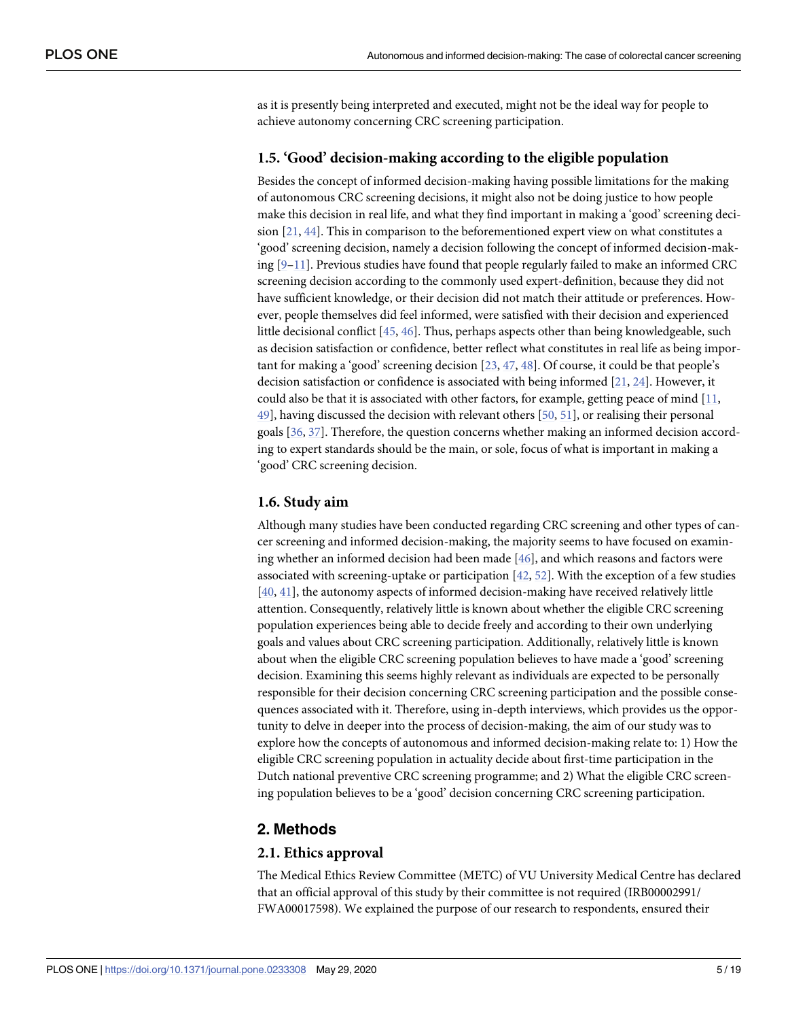<span id="page-4-0"></span>as it is presently being interpreted and executed, might not be the ideal way for people to achieve autonomy concerning CRC screening participation.

## **1.5. 'Good' decision-making according to the eligible population**

Besides the concept of informed decision-making having possible limitations for the making of autonomous CRC screening decisions, it might also not be doing justice to how people make this decision in real life, and what they find important in making a 'good' screening decision [\[21,](#page-17-0) [44\]](#page-18-0). This in comparison to the beforementioned expert view on what constitutes a 'good' screening decision, namely a decision following the concept of informed decision-making [\[9–11\]](#page-16-0). Previous studies have found that people regularly failed to make an informed CRC screening decision according to the commonly used expert-definition, because they did not have sufficient knowledge, or their decision did not match their attitude or preferences. However, people themselves did feel informed, were satisfied with their decision and experienced little decisional conflict [[45](#page-18-0), [46](#page-18-0)]. Thus, perhaps aspects other than being knowledgeable, such as decision satisfaction or confidence, better reflect what constitutes in real life as being important for making a 'good' screening decision  $[23, 47, 48]$  $[23, 47, 48]$  $[23, 47, 48]$  $[23, 47, 48]$  $[23, 47, 48]$  $[23, 47, 48]$  $[23, 47, 48]$ . Of course, it could be that people's decision satisfaction or confidence is associated with being informed [\[21,](#page-17-0) [24](#page-17-0)]. However, it could also be that it is associated with other factors, for example, getting peace of mind [\[11,](#page-16-0) [49\]](#page-18-0), having discussed the decision with relevant others [\[50,](#page-18-0) [51\]](#page-18-0), or realising their personal goals [[36](#page-17-0), [37](#page-17-0)]. Therefore, the question concerns whether making an informed decision according to expert standards should be the main, or sole, focus of what is important in making a 'good' CRC screening decision.

# **1.6. Study aim**

Although many studies have been conducted regarding CRC screening and other types of cancer screening and informed decision-making, the majority seems to have focused on examining whether an informed decision had been made  $[46]$  $[46]$  $[46]$ , and which reasons and factors were associated with screening-uptake or participation [[42](#page-17-0), [52](#page-18-0)]. With the exception of a few studies [\[40,](#page-17-0) [41\]](#page-17-0), the autonomy aspects of informed decision-making have received relatively little attention. Consequently, relatively little is known about whether the eligible CRC screening population experiences being able to decide freely and according to their own underlying goals and values about CRC screening participation. Additionally, relatively little is known about when the eligible CRC screening population believes to have made a 'good' screening decision. Examining this seems highly relevant as individuals are expected to be personally responsible for their decision concerning CRC screening participation and the possible consequences associated with it. Therefore, using in-depth interviews, which provides us the opportunity to delve in deeper into the process of decision-making, the aim of our study was to explore how the concepts of autonomous and informed decision-making relate to: 1) How the eligible CRC screening population in actuality decide about first-time participation in the Dutch national preventive CRC screening programme; and 2) What the eligible CRC screening population believes to be a 'good' decision concerning CRC screening participation.

# **2. Methods**

# **2.1. Ethics approval**

The Medical Ethics Review Committee (METC) of VU University Medical Centre has declared that an official approval of this study by their committee is not required (IRB00002991/ FWA00017598). We explained the purpose of our research to respondents, ensured their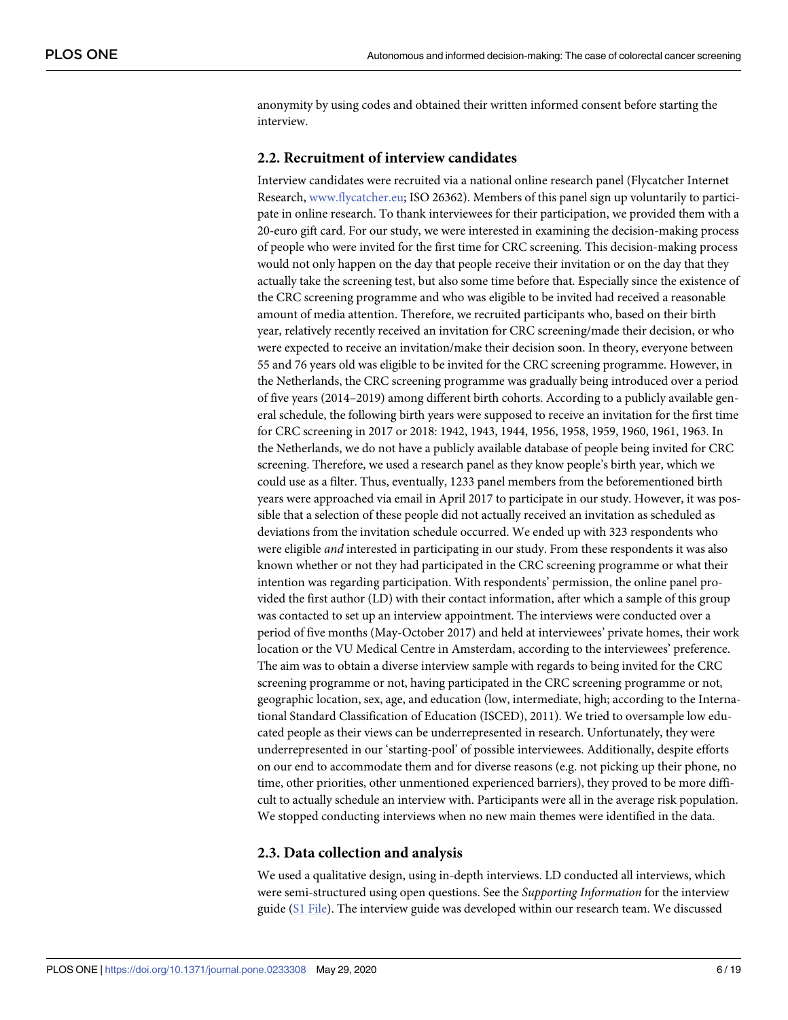anonymity by using codes and obtained their written informed consent before starting the interview.

# **2.2. Recruitment of interview candidates**

Interview candidates were recruited via a national online research panel (Flycatcher Internet Research, [www.flycatcher.eu;](http://www.flycatcher.eu) ISO 26362). Members of this panel sign up voluntarily to participate in online research. To thank interviewees for their participation, we provided them with a 20-euro gift card. For our study, we were interested in examining the decision-making process of people who were invited for the first time for CRC screening. This decision-making process would not only happen on the day that people receive their invitation or on the day that they actually take the screening test, but also some time before that. Especially since the existence of the CRC screening programme and who was eligible to be invited had received a reasonable amount of media attention. Therefore, we recruited participants who, based on their birth year, relatively recently received an invitation for CRC screening/made their decision, or who were expected to receive an invitation/make their decision soon. In theory, everyone between 55 and 76 years old was eligible to be invited for the CRC screening programme. However, in the Netherlands, the CRC screening programme was gradually being introduced over a period of five years (2014–2019) among different birth cohorts. According to a publicly available general schedule, the following birth years were supposed to receive an invitation for the first time for CRC screening in 2017 or 2018: 1942, 1943, 1944, 1956, 1958, 1959, 1960, 1961, 1963. In the Netherlands, we do not have a publicly available database of people being invited for CRC screening. Therefore, we used a research panel as they know people's birth year, which we could use as a filter. Thus, eventually, 1233 panel members from the beforementioned birth years were approached via email in April 2017 to participate in our study. However, it was possible that a selection of these people did not actually received an invitation as scheduled as deviations from the invitation schedule occurred. We ended up with 323 respondents who were eligible *and* interested in participating in our study. From these respondents it was also known whether or not they had participated in the CRC screening programme or what their intention was regarding participation. With respondents' permission, the online panel provided the first author (LD) with their contact information, after which a sample of this group was contacted to set up an interview appointment. The interviews were conducted over a period of five months (May-October 2017) and held at interviewees' private homes, their work location or the VU Medical Centre in Amsterdam, according to the interviewees' preference. The aim was to obtain a diverse interview sample with regards to being invited for the CRC screening programme or not, having participated in the CRC screening programme or not, geographic location, sex, age, and education (low, intermediate, high; according to the International Standard Classification of Education (ISCED), 2011). We tried to oversample low educated people as their views can be underrepresented in research. Unfortunately, they were underrepresented in our 'starting-pool' of possible interviewees. Additionally, despite efforts on our end to accommodate them and for diverse reasons (e.g. not picking up their phone, no time, other priorities, other unmentioned experienced barriers), they proved to be more difficult to actually schedule an interview with. Participants were all in the average risk population. We stopped conducting interviews when no new main themes were identified in the data.

#### **2.3. Data collection and analysis**

We used a qualitative design, using in-depth interviews. LD conducted all interviews, which were semi-structured using open questions. See the *Supporting Information* for the interview guide (S1 [File](#page-15-0)). The interview guide was developed within our research team. We discussed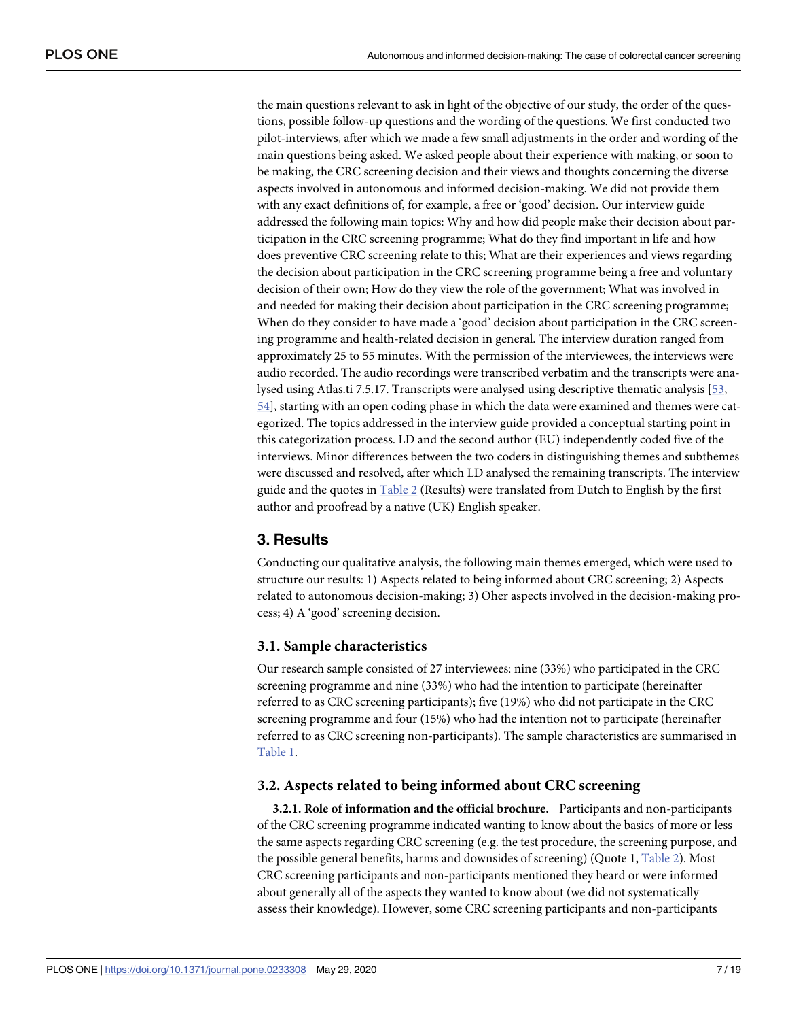<span id="page-6-0"></span>the main questions relevant to ask in light of the objective of our study, the order of the questions, possible follow-up questions and the wording of the questions. We first conducted two pilot-interviews, after which we made a few small adjustments in the order and wording of the main questions being asked. We asked people about their experience with making, or soon to be making, the CRC screening decision and their views and thoughts concerning the diverse aspects involved in autonomous and informed decision-making. We did not provide them with any exact definitions of, for example, a free or 'good' decision. Our interview guide addressed the following main topics: Why and how did people make their decision about participation in the CRC screening programme; What do they find important in life and how does preventive CRC screening relate to this; What are their experiences and views regarding the decision about participation in the CRC screening programme being a free and voluntary decision of their own; How do they view the role of the government; What was involved in and needed for making their decision about participation in the CRC screening programme; When do they consider to have made a 'good' decision about participation in the CRC screening programme and health-related decision in general. The interview duration ranged from approximately 25 to 55 minutes. With the permission of the interviewees, the interviews were audio recorded. The audio recordings were transcribed verbatim and the transcripts were analysed using Atlas.ti 7.5.17. Transcripts were analysed using descriptive thematic analysis [\[53,](#page-18-0) [54\]](#page-18-0), starting with an open coding phase in which the data were examined and themes were categorized. The topics addressed in the interview guide provided a conceptual starting point in this categorization process. LD and the second author (EU) independently coded five of the interviews. Minor differences between the two coders in distinguishing themes and subthemes were discussed and resolved, after which LD analysed the remaining transcripts. The interview guide and the quotes in [Table](#page-8-0) 2 (Results) were translated from Dutch to English by the first author and proofread by a native (UK) English speaker.

# **3. Results**

Conducting our qualitative analysis, the following main themes emerged, which were used to structure our results: 1) Aspects related to being informed about CRC screening; 2) Aspects related to autonomous decision-making; 3) Oher aspects involved in the decision-making process; 4) A 'good' screening decision.

# **3.1. Sample characteristics**

Our research sample consisted of 27 interviewees: nine (33%) who participated in the CRC screening programme and nine (33%) who had the intention to participate (hereinafter referred to as CRC screening participants); five (19%) who did not participate in the CRC screening programme and four (15%) who had the intention not to participate (hereinafter referred to as CRC screening non-participants). The sample characteristics are summarised in [Table](#page-7-0) 1.

# **3.2. Aspects related to being informed about CRC screening**

**3.2.1. Role of information and the official brochure.** Participants and non-participants of the CRC screening programme indicated wanting to know about the basics of more or less the same aspects regarding CRC screening (e.g. the test procedure, the screening purpose, and the possible general benefits, harms and downsides of screening) (Quote 1, [Table](#page-8-0) 2). Most CRC screening participants and non-participants mentioned they heard or were informed about generally all of the aspects they wanted to know about (we did not systematically assess their knowledge). However, some CRC screening participants and non-participants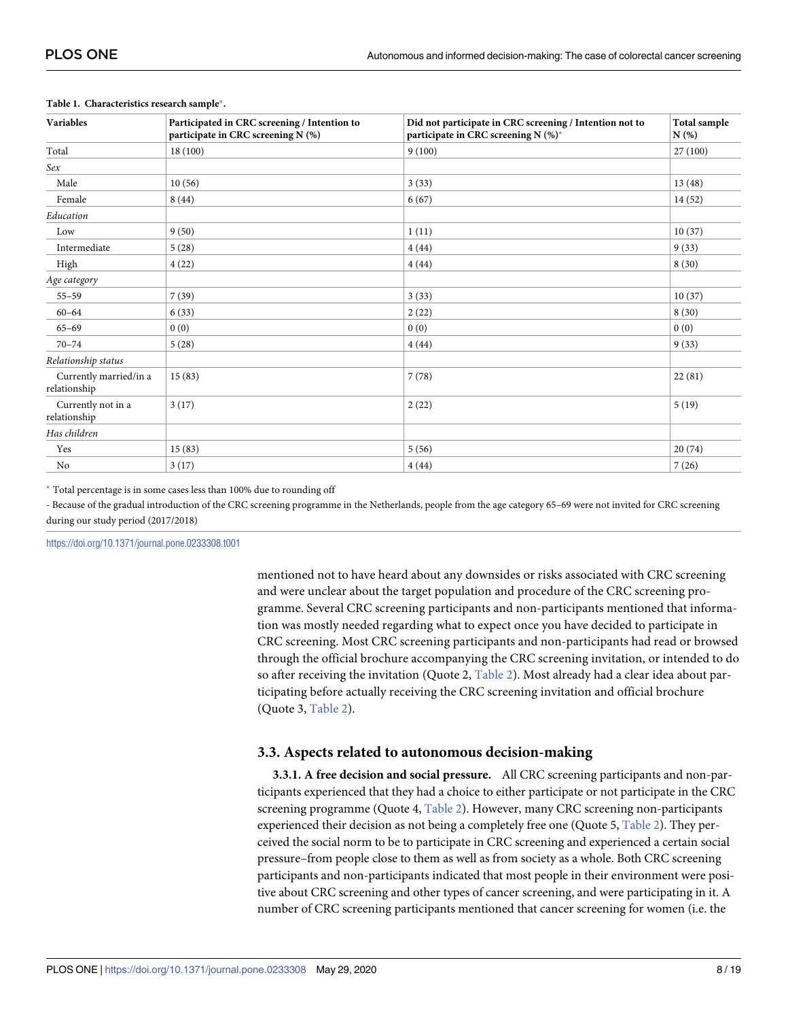| <b>Variables</b>                       | Participated in CRC screening / Intention to<br>participate in CRC screening N (%) | Did not participate in CRC screening / Intention not to<br>participate in CRC screening N (%)* | Total sample<br>N(%) |
|----------------------------------------|------------------------------------------------------------------------------------|------------------------------------------------------------------------------------------------|----------------------|
| Total                                  | 18 (100)                                                                           | 9(100)                                                                                         | 27(100)              |
| Sex                                    |                                                                                    |                                                                                                |                      |
| Male                                   | 10(56)                                                                             | 3(33)                                                                                          | 13(48)               |
| Female                                 | 8(44)                                                                              | 6(67)                                                                                          | 14(52)               |
| Education                              |                                                                                    |                                                                                                |                      |
| Low                                    | 9(50)                                                                              | 1(11)                                                                                          | 10(37)               |
| Intermediate                           | 5(28)                                                                              | 4(44)                                                                                          | 9(33)                |
| High                                   | 4(22)                                                                              | 4(44)                                                                                          | 8(30)                |
| Age category                           |                                                                                    |                                                                                                |                      |
| $55 - 59$                              | 7(39)                                                                              | 3(33)                                                                                          | 10(37)               |
| $60 - 64$                              | 6(33)                                                                              | 2(22)                                                                                          | 8(30)                |
| $65 - 69$                              | 0(0)                                                                               | 0(0)                                                                                           | 0(0)                 |
| $70 - 74$                              | 5(28)                                                                              | 4(44)                                                                                          | 9(33)                |
| Relationship status                    |                                                                                    |                                                                                                |                      |
| Currently married/in a<br>relationship | 15(83)                                                                             | 7(78)                                                                                          | 22(81)               |
| Currently not in a<br>relationship     | 3(17)                                                                              | 2(22)                                                                                          | 5(19)                |
| Has children                           |                                                                                    |                                                                                                |                      |
| Yes                                    | 15(83)                                                                             | 5(56)                                                                                          | 20(74)               |
| No                                     | 3(17)                                                                              | 4(44)                                                                                          | 7(26)                |

#### <span id="page-7-0"></span>**[Table](#page-6-0) 1. Characteristics research sample**�**.**

� Total percentage is in some cases less than 100% due to rounding off

- Because of the gradual introduction of the CRC screening programme in the Netherlands, people from the age category 65–69 were not invited for CRC screening during our study period (2017/2018)

<https://doi.org/10.1371/journal.pone.0233308.t001>

mentioned not to have heard about any downsides or risks associated with CRC screening and were unclear about the target population and procedure of the CRC screening programme. Several CRC screening participants and non-participants mentioned that information was mostly needed regarding what to expect once you have decided to participate in CRC screening. Most CRC screening participants and non-participants had read or browsed through the official brochure accompanying the CRC screening invitation, or intended to do so after receiving the invitation (Quote 2, [Table](#page-8-0) 2). Most already had a clear idea about participating before actually receiving the CRC screening invitation and official brochure (Quote 3, [Table](#page-8-0) 2).

#### **3.3. Aspects related to autonomous decision-making**

**3.3.1. A free decision and social pressure.** All CRC screening participants and non-participants experienced that they had a choice to either participate or not participate in the CRC screening programme (Quote 4, [Table](#page-8-0) 2). However, many CRC screening non-participants experienced their decision as not being a completely free one (Quote 5, [Table](#page-8-0) 2). They perceived the social norm to be to participate in CRC screening and experienced a certain social pressure–from people close to them as well as from society as a whole. Both CRC screening participants and non-participants indicated that most people in their environment were positive about CRC screening and other types of cancer screening, and were participating in it. A number of CRC screening participants mentioned that cancer screening for women (i.e. the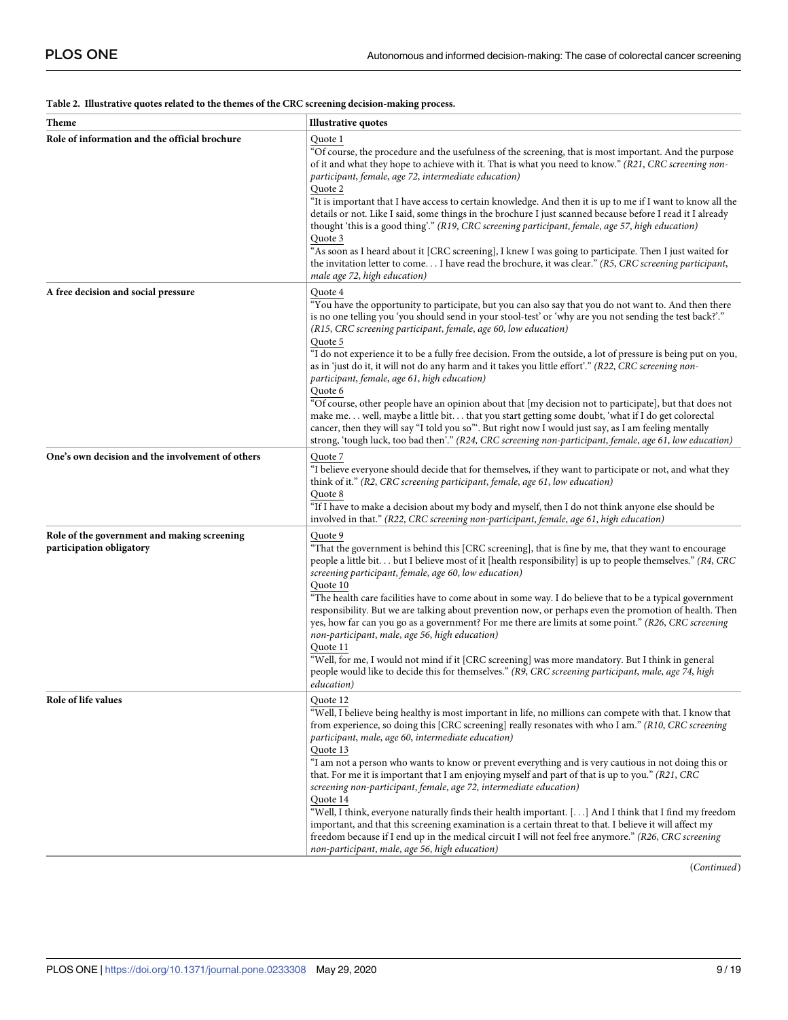| Theme                                                                   | <b>Illustrative quotes</b>                                                                                                                                                                                                                                                                                                                                                                                                                                                                                                                                                                                                                                                                                                                                                                                                                                                                                                                                                                                                          |
|-------------------------------------------------------------------------|-------------------------------------------------------------------------------------------------------------------------------------------------------------------------------------------------------------------------------------------------------------------------------------------------------------------------------------------------------------------------------------------------------------------------------------------------------------------------------------------------------------------------------------------------------------------------------------------------------------------------------------------------------------------------------------------------------------------------------------------------------------------------------------------------------------------------------------------------------------------------------------------------------------------------------------------------------------------------------------------------------------------------------------|
| Role of information and the official brochure                           | Quote 1<br>"Of course, the procedure and the usefulness of the screening, that is most important. And the purpose<br>of it and what they hope to achieve with it. That is what you need to know." (R21, CRC screening non-<br>participant, female, age 72, intermediate education)<br>Quote 2<br>"It is important that I have access to certain knowledge. And then it is up to me if I want to know all the<br>details or not. Like I said, some things in the brochure I just scanned because before I read it I already<br>thought 'this is a good thing'." (R19, CRC screening participant, female, age 57, high education)<br>Quote 3<br>"As soon as I heard about it [CRC screening], I knew I was going to participate. Then I just waited for<br>the invitation letter to come I have read the brochure, it was clear." $(R5, CRC\, screening\, partition,$<br>male age 72, high education)                                                                                                                                 |
| A free decision and social pressure                                     | Quote 4<br>"You have the opportunity to participate, but you can also say that you do not want to. And then there<br>is no one telling you 'you should send in your stool-test' or 'why are you not sending the test back?'."<br>(R15, CRC screening participant, female, age 60, low education)<br>Quote 5<br>"I do not experience it to be a fully free decision. From the outside, a lot of pressure is being put on you,<br>as in 'just do it, it will not do any harm and it takes you little effort'." (R22, CRC screening non-<br>participant, female, age 61, high education)<br>Quote 6<br>"Of course, other people have an opinion about that [my decision not to participate], but that does not<br>make me well, maybe a little bit that you start getting some doubt, 'what if I do get colorectal<br>cancer, then they will say "I told you so". But right now I would just say, as I am feeling mentally<br>strong, 'tough luck, too bad then'." (R24, CRC screening non-participant, female, age 61, low education) |
| One's own decision and the involvement of others                        | Quote 7<br>"I believe everyone should decide that for themselves, if they want to participate or not, and what they<br>think of it." (R2, CRC screening participant, female, age 61, low education)<br>Quote 8<br>"If I have to make a decision about my body and myself, then I do not think anyone else should be<br>involved in that." (R22, CRC screening non-participant, female, age 61, high education)                                                                                                                                                                                                                                                                                                                                                                                                                                                                                                                                                                                                                      |
| Role of the government and making screening<br>participation obligatory | Quote 9<br>"That the government is behind this [CRC screening], that is fine by me, that they want to encourage<br>people a little bit but I believe most of it [health responsibility] is up to people themselves." (R4, CRC<br>screening participant, female, age 60, low education)<br>Quote 10<br>"The health care facilities have to come about in some way. I do believe that to be a typical government<br>responsibility. But we are talking about prevention now, or perhaps even the promotion of health. Then<br>yes, how far can you go as a government? For me there are limits at some point." (R26, CRC screening<br>non-participant, male, age 56, high education)<br>Quote 11<br>"Well, for me, I would not mind if it [CRC screening] was more mandatory. But I think in general<br>people would like to decide this for themselves." (R9, CRC screening participant, male, age 74, high<br>education)                                                                                                            |
| Role of life values                                                     | Quote 12<br>"Well, I believe being healthy is most important in life, no millions can compete with that. I know that<br>from experience, so doing this [CRC screening] really resonates with who I am." (R10, CRC screening<br>participant, male, age 60, intermediate education)<br>Quote 13<br>"I am not a person who wants to know or prevent everything and is very cautious in not doing this or<br>that. For me it is important that I am enjoying myself and part of that is up to you." (R21, CRC)<br>screening non-participant, female, age 72, intermediate education)<br>Quote 14<br>"Well, I think, everyone naturally finds their health important. [] And I think that I find my freedom<br>important, and that this screening examination is a certain threat to that. I believe it will affect my<br>freedom because if I end up in the medical circuit I will not feel free anymore." (R26, CRC screening<br>non-participant, male, age 56, high education)                                                        |

<span id="page-8-0"></span>**[Table](#page-6-0) 2. Illustrative quotes related to the themes of the CRC screening decision-making process.**

(*Continued*)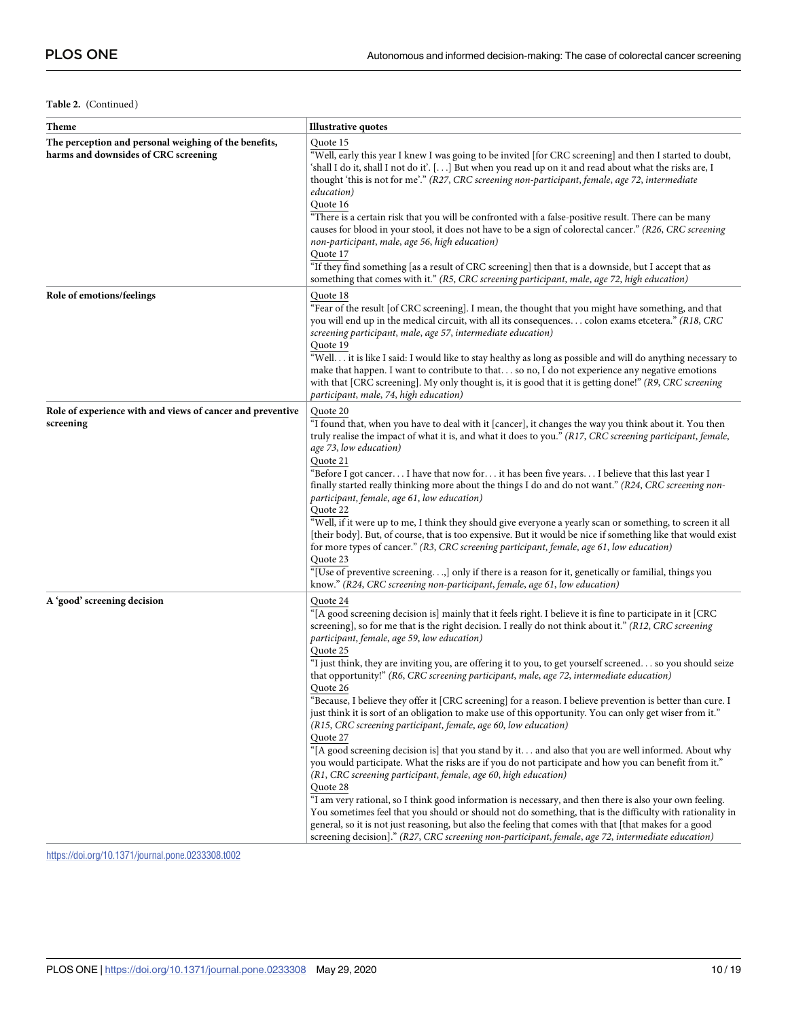#### **Table 2.** (Continued)

| Theme                                                                                         | <b>Illustrative quotes</b>                                                                                                                                                                                                                                                                                                                                                                                                                                                                                                                                                                                                                                                                                                                                                                                                                                                                                                                                                                                                                                                                                                                                                                                                                                                                                                                                                                                                                                                                                                                                         |
|-----------------------------------------------------------------------------------------------|--------------------------------------------------------------------------------------------------------------------------------------------------------------------------------------------------------------------------------------------------------------------------------------------------------------------------------------------------------------------------------------------------------------------------------------------------------------------------------------------------------------------------------------------------------------------------------------------------------------------------------------------------------------------------------------------------------------------------------------------------------------------------------------------------------------------------------------------------------------------------------------------------------------------------------------------------------------------------------------------------------------------------------------------------------------------------------------------------------------------------------------------------------------------------------------------------------------------------------------------------------------------------------------------------------------------------------------------------------------------------------------------------------------------------------------------------------------------------------------------------------------------------------------------------------------------|
| The perception and personal weighing of the benefits,<br>harms and downsides of CRC screening | Quote 15<br>"Well, early this year I knew I was going to be invited [for CRC screening] and then I started to doubt,<br>'shall I do it, shall I not do it'. [] But when you read up on it and read about what the risks are, I<br>thought 'this is not for me'." (R27, CRC screening non-participant, female, age 72, intermediate<br>education)<br>Quote 16<br>"There is a certain risk that you will be confronted with a false-positive result. There can be many<br>causes for blood in your stool, it does not have to be a sign of colorectal cancer." (R26, CRC screening<br>non-participant, male, age 56, high education)<br>Quote 17<br>"If they find something [as a result of CRC screening] then that is a downside, but I accept that as<br>something that comes with it." (R5, CRC screening participant, male, age 72, high education)                                                                                                                                                                                                                                                                                                                                                                                                                                                                                                                                                                                                                                                                                                             |
| Role of emotions/feelings                                                                     | Quote 18<br>"Fear of the result [of CRC screening]. I mean, the thought that you might have something, and that<br>you will end up in the medical circuit, with all its consequences colon exams etcetera." (R18, CRC<br>screening participant, male, age 57, intermediate education)<br>Quote 19<br>"Wellit is like I said: I would like to stay healthy as long as possible and will do anything necessary to<br>make that happen. I want to contribute to that so no, I do not experience any negative emotions<br>with that [CRC screening]. My only thought is, it is good that it is getting done!" (R9, CRC screening<br>participant, male, 74, high education)                                                                                                                                                                                                                                                                                                                                                                                                                                                                                                                                                                                                                                                                                                                                                                                                                                                                                             |
| Role of experience with and views of cancer and preventive<br>screening                       | Quote 20<br>"I found that, when you have to deal with it [cancer], it changes the way you think about it. You then<br>truly realise the impact of what it is, and what it does to you." (R17, CRC screening participant, female,<br>age 73, low education)<br>Quote 21<br>"Before I got cancer I have that now for it has been five years I believe that this last year I<br>finally started really thinking more about the things I do and do not want." (R24, CRC screening non-<br>participant, female, age 61, low education)<br>Quote 22<br>"Well, if it were up to me, I think they should give everyone a yearly scan or something, to screen it all<br>[their body]. But, of course, that is too expensive. But it would be nice if something like that would exist<br>for more types of cancer." (R3, CRC screening participant, female, age 61, low education)<br>Quote 23<br>"[Use of preventive screening,] only if there is a reason for it, genetically or familial, things you<br>know." (R24, CRC screening non-participant, female, age 61, low education)                                                                                                                                                                                                                                                                                                                                                                                                                                                                                        |
| A 'good' screening decision                                                                   | Quote 24<br>"[A good screening decision is] mainly that it feels right. I believe it is fine to participate in it [CRC<br>screening], so for me that is the right decision. I really do not think about it." (R12, CRC screening<br>participant, female, age 59, low education)<br>Quote 25<br>"I just think, they are inviting you, are offering it to you, to get yourself screened so you should seize<br>that opportunity!" (R6, CRC screening participant, male, age 72, intermediate education)<br>Quote 26<br>"Because, I believe they offer it [CRC screening] for a reason. I believe prevention is better than cure. I<br>just think it is sort of an obligation to make use of this opportunity. You can only get wiser from it."<br>(R15, CRC screening participant, female, age 60, low education)<br>Quote 27<br>"[A good screening decision is] that you stand by it and also that you are well informed. About why<br>you would participate. What the risks are if you do not participate and how you can benefit from it."<br>(R1, CRC screening participant, female, age 60, high education)<br>Quote 28<br>"I am very rational, so I think good information is necessary, and then there is also your own feeling.<br>You sometimes feel that you should or should not do something, that is the difficulty with rationality in<br>general, so it is not just reasoning, but also the feeling that comes with that [that makes for a good<br>screening decision]." (R27, CRC screening non-participant, female, age 72, intermediate education) |

<https://doi.org/10.1371/journal.pone.0233308.t002>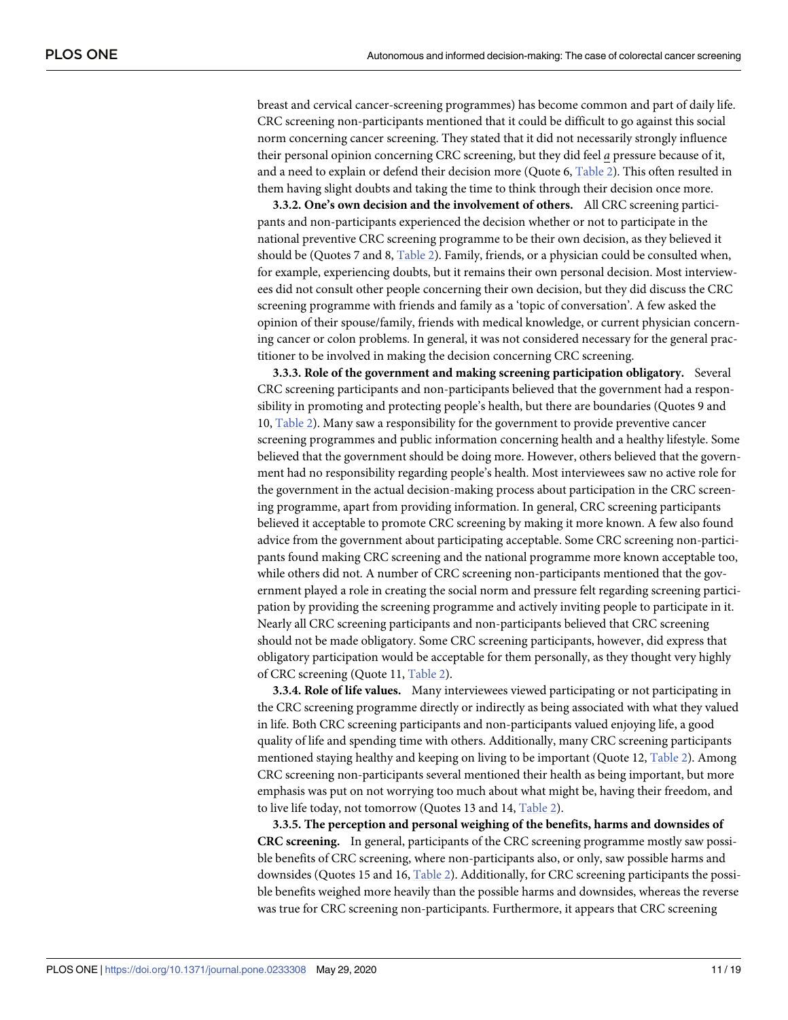breast and cervical cancer-screening programmes) has become common and part of daily life. CRC screening non-participants mentioned that it could be difficult to go against this social norm concerning cancer screening. They stated that it did not necessarily strongly influence their personal opinion concerning CRC screening, but they did feel *a* pressure because of it, and a need to explain or defend their decision more (Quote 6, [Table](#page-8-0) 2). This often resulted in them having slight doubts and taking the time to think through their decision once more.

**3.3.2. One's own decision and the involvement of others.** All CRC screening participants and non-participants experienced the decision whether or not to participate in the national preventive CRC screening programme to be their own decision, as they believed it should be (Quotes 7 and 8, [Table](#page-8-0) 2). Family, friends, or a physician could be consulted when, for example, experiencing doubts, but it remains their own personal decision. Most interviewees did not consult other people concerning their own decision, but they did discuss the CRC screening programme with friends and family as a 'topic of conversation'. A few asked the opinion of their spouse/family, friends with medical knowledge, or current physician concerning cancer or colon problems. In general, it was not considered necessary for the general practitioner to be involved in making the decision concerning CRC screening.

**3.3.3. Role of the government and making screening participation obligatory.** Several CRC screening participants and non-participants believed that the government had a responsibility in promoting and protecting people's health, but there are boundaries (Quotes 9 and 10, [Table](#page-8-0) 2). Many saw a responsibility for the government to provide preventive cancer screening programmes and public information concerning health and a healthy lifestyle. Some believed that the government should be doing more. However, others believed that the government had no responsibility regarding people's health. Most interviewees saw no active role for the government in the actual decision-making process about participation in the CRC screening programme, apart from providing information. In general, CRC screening participants believed it acceptable to promote CRC screening by making it more known. A few also found advice from the government about participating acceptable. Some CRC screening non-participants found making CRC screening and the national programme more known acceptable too, while others did not. A number of CRC screening non-participants mentioned that the government played a role in creating the social norm and pressure felt regarding screening participation by providing the screening programme and actively inviting people to participate in it. Nearly all CRC screening participants and non-participants believed that CRC screening should not be made obligatory. Some CRC screening participants, however, did express that obligatory participation would be acceptable for them personally, as they thought very highly of CRC screening (Quote 11, [Table](#page-8-0) 2).

**3.3.4. Role of life values.** Many interviewees viewed participating or not participating in the CRC screening programme directly or indirectly as being associated with what they valued in life. Both CRC screening participants and non-participants valued enjoying life, a good quality of life and spending time with others. Additionally, many CRC screening participants mentioned staying healthy and keeping on living to be important (Quote 12, [Table](#page-8-0) 2). Among CRC screening non-participants several mentioned their health as being important, but more emphasis was put on not worrying too much about what might be, having their freedom, and to live life today, not tomorrow (Quotes 13 and 14, [Table](#page-8-0) 2).

**3.3.5. The perception and personal weighing of the benefits, harms and downsides of CRC screening.** In general, participants of the CRC screening programme mostly saw possible benefits of CRC screening, where non-participants also, or only, saw possible harms and downsides (Quotes 15 and 16, [Table](#page-8-0) 2). Additionally, for CRC screening participants the possible benefits weighed more heavily than the possible harms and downsides, whereas the reverse was true for CRC screening non-participants. Furthermore, it appears that CRC screening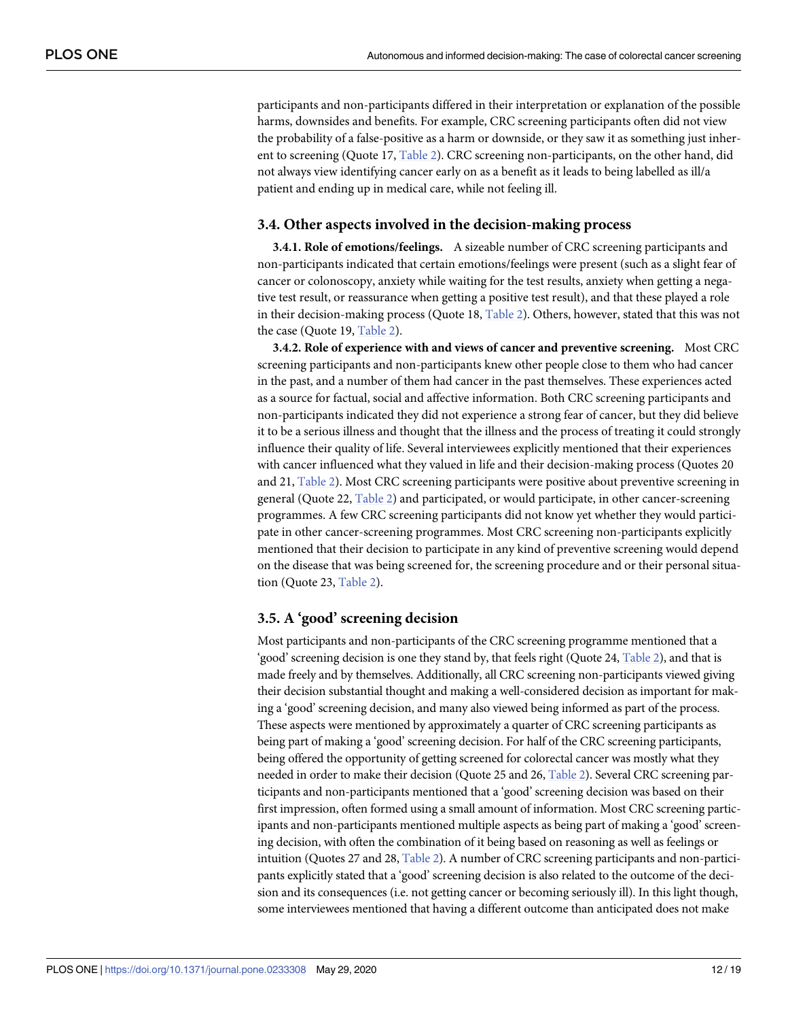participants and non-participants differed in their interpretation or explanation of the possible harms, downsides and benefits. For example, CRC screening participants often did not view the probability of a false-positive as a harm or downside, or they saw it as something just inher-ent to screening (Quote 17, [Table](#page-8-0) 2). CRC screening non-participants, on the other hand, did not always view identifying cancer early on as a benefit as it leads to being labelled as ill/a patient and ending up in medical care, while not feeling ill.

#### **3.4. Other aspects involved in the decision-making process**

**3.4.1. Role of emotions/feelings.** A sizeable number of CRC screening participants and non-participants indicated that certain emotions/feelings were present (such as a slight fear of cancer or colonoscopy, anxiety while waiting for the test results, anxiety when getting a negative test result, or reassurance when getting a positive test result), and that these played a role in their decision-making process (Quote 18, [Table](#page-8-0) 2). Others, however, stated that this was not the case (Quote 19, [Table](#page-8-0) 2).

**3.4.2. Role of experience with and views of cancer and preventive screening.** Most CRC screening participants and non-participants knew other people close to them who had cancer in the past, and a number of them had cancer in the past themselves. These experiences acted as a source for factual, social and affective information. Both CRC screening participants and non-participants indicated they did not experience a strong fear of cancer, but they did believe it to be a serious illness and thought that the illness and the process of treating it could strongly influence their quality of life. Several interviewees explicitly mentioned that their experiences with cancer influenced what they valued in life and their decision-making process (Quotes 20 and 21, [Table](#page-8-0) 2). Most CRC screening participants were positive about preventive screening in general (Quote 22, [Table](#page-8-0) 2) and participated, or would participate, in other cancer-screening programmes. A few CRC screening participants did not know yet whether they would participate in other cancer-screening programmes. Most CRC screening non-participants explicitly mentioned that their decision to participate in any kind of preventive screening would depend on the disease that was being screened for, the screening procedure and or their personal situation (Quote 23, [Table](#page-8-0) 2).

#### **3.5. A 'good' screening decision**

Most participants and non-participants of the CRC screening programme mentioned that a 'good' screening decision is one they stand by, that feels right (Quote 24, [Table](#page-8-0) 2), and that is made freely and by themselves. Additionally, all CRC screening non-participants viewed giving their decision substantial thought and making a well-considered decision as important for making a 'good' screening decision, and many also viewed being informed as part of the process. These aspects were mentioned by approximately a quarter of CRC screening participants as being part of making a 'good' screening decision. For half of the CRC screening participants, being offered the opportunity of getting screened for colorectal cancer was mostly what they needed in order to make their decision (Quote 25 and 26, [Table](#page-8-0) 2). Several CRC screening participants and non-participants mentioned that a 'good' screening decision was based on their first impression, often formed using a small amount of information. Most CRC screening participants and non-participants mentioned multiple aspects as being part of making a 'good' screening decision, with often the combination of it being based on reasoning as well as feelings or intuition (Quotes 27 and 28, [Table](#page-8-0) 2). A number of CRC screening participants and non-participants explicitly stated that a 'good' screening decision is also related to the outcome of the decision and its consequences (i.e. not getting cancer or becoming seriously ill). In this light though, some interviewees mentioned that having a different outcome than anticipated does not make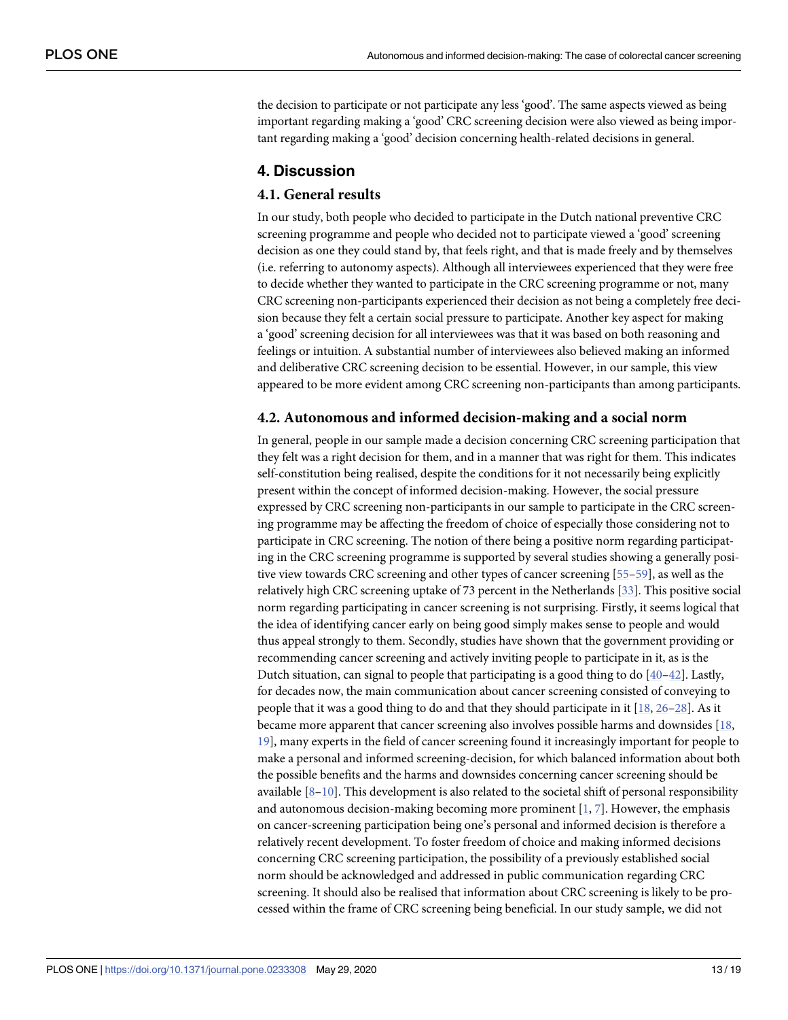<span id="page-12-0"></span>the decision to participate or not participate any less 'good'. The same aspects viewed as being important regarding making a 'good' CRC screening decision were also viewed as being important regarding making a 'good' decision concerning health-related decisions in general.

# **4. Discussion**

# **4.1. General results**

In our study, both people who decided to participate in the Dutch national preventive CRC screening programme and people who decided not to participate viewed a 'good' screening decision as one they could stand by, that feels right, and that is made freely and by themselves (i.e. referring to autonomy aspects). Although all interviewees experienced that they were free to decide whether they wanted to participate in the CRC screening programme or not, many CRC screening non-participants experienced their decision as not being a completely free decision because they felt a certain social pressure to participate. Another key aspect for making a 'good' screening decision for all interviewees was that it was based on both reasoning and feelings or intuition. A substantial number of interviewees also believed making an informed and deliberative CRC screening decision to be essential. However, in our sample, this view appeared to be more evident among CRC screening non-participants than among participants.

# **4.2. Autonomous and informed decision-making and a social norm**

In general, people in our sample made a decision concerning CRC screening participation that they felt was a right decision for them, and in a manner that was right for them. This indicates self-constitution being realised, despite the conditions for it not necessarily being explicitly present within the concept of informed decision-making. However, the social pressure expressed by CRC screening non-participants in our sample to participate in the CRC screening programme may be affecting the freedom of choice of especially those considering not to participate in CRC screening. The notion of there being a positive norm regarding participating in the CRC screening programme is supported by several studies showing a generally positive view towards CRC screening and other types of cancer screening [\[55–59\]](#page-18-0), as well as the relatively high CRC screening uptake of 73 percent in the Netherlands [\[33\]](#page-17-0). This positive social norm regarding participating in cancer screening is not surprising. Firstly, it seems logical that the idea of identifying cancer early on being good simply makes sense to people and would thus appeal strongly to them. Secondly, studies have shown that the government providing or recommending cancer screening and actively inviting people to participate in it, as is the Dutch situation, can signal to people that participating is a good thing to do  $[40-42]$ . Lastly, for decades now, the main communication about cancer screening consisted of conveying to people that it was a good thing to do and that they should participate in it [[18](#page-17-0), [26](#page-17-0)–[28\]](#page-17-0). As it became more apparent that cancer screening also involves possible harms and downsides [\[18,](#page-17-0) [19\]](#page-17-0), many experts in the field of cancer screening found it increasingly important for people to make a personal and informed screening-decision, for which balanced information about both the possible benefits and the harms and downsides concerning cancer screening should be available [\[8–10](#page-16-0)]. This development is also related to the societal shift of personal responsibility and autonomous decision-making becoming more prominent  $[1, 7]$  $[1, 7]$  $[1, 7]$ . However, the emphasis on cancer-screening participation being one's personal and informed decision is therefore a relatively recent development. To foster freedom of choice and making informed decisions concerning CRC screening participation, the possibility of a previously established social norm should be acknowledged and addressed in public communication regarding CRC screening. It should also be realised that information about CRC screening is likely to be processed within the frame of CRC screening being beneficial. In our study sample, we did not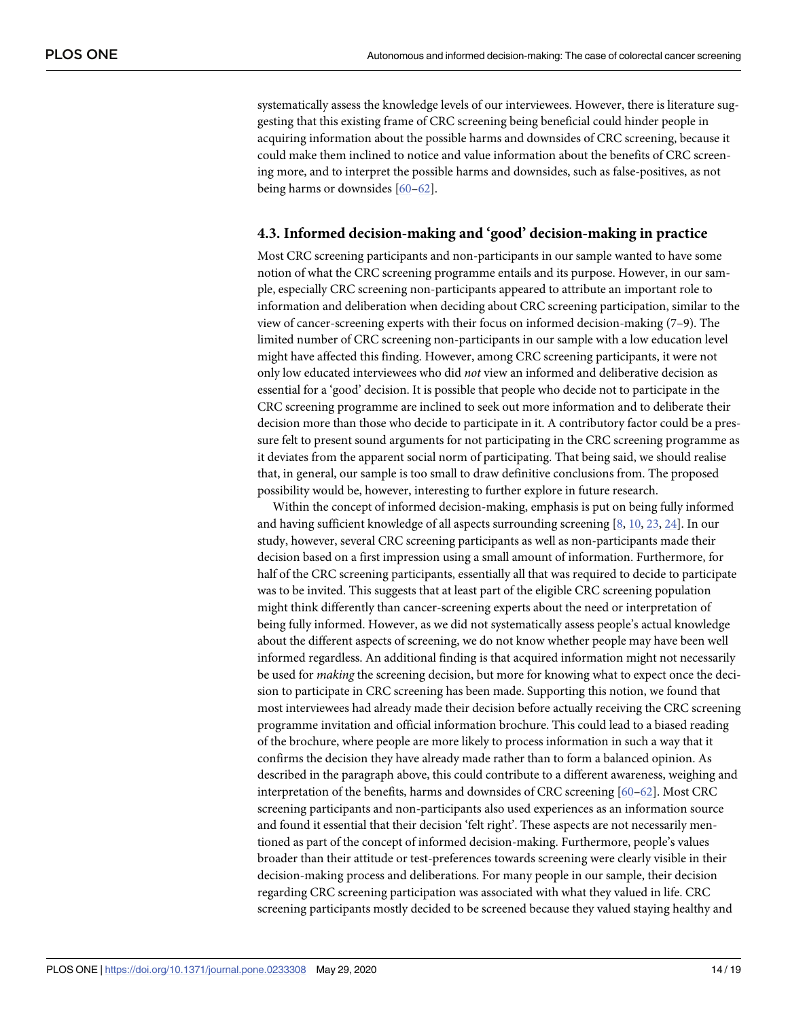<span id="page-13-0"></span>systematically assess the knowledge levels of our interviewees. However, there is literature suggesting that this existing frame of CRC screening being beneficial could hinder people in acquiring information about the possible harms and downsides of CRC screening, because it could make them inclined to notice and value information about the benefits of CRC screening more, and to interpret the possible harms and downsides, such as false-positives, as not being harms or downsides [\[60–62](#page-18-0)].

#### **4.3. Informed decision-making and 'good' decision-making in practice**

Most CRC screening participants and non-participants in our sample wanted to have some notion of what the CRC screening programme entails and its purpose. However, in our sample, especially CRC screening non-participants appeared to attribute an important role to information and deliberation when deciding about CRC screening participation, similar to the view of cancer-screening experts with their focus on informed decision-making (7–9). The limited number of CRC screening non-participants in our sample with a low education level might have affected this finding. However, among CRC screening participants, it were not only low educated interviewees who did *not* view an informed and deliberative decision as essential for a 'good' decision. It is possible that people who decide not to participate in the CRC screening programme are inclined to seek out more information and to deliberate their decision more than those who decide to participate in it. A contributory factor could be a pressure felt to present sound arguments for not participating in the CRC screening programme as it deviates from the apparent social norm of participating. That being said, we should realise that, in general, our sample is too small to draw definitive conclusions from. The proposed possibility would be, however, interesting to further explore in future research.

Within the concept of informed decision-making, emphasis is put on being fully informed and having sufficient knowledge of all aspects surrounding screening [\[8](#page-16-0), [10](#page-16-0), [23](#page-17-0), [24](#page-17-0)]. In our study, however, several CRC screening participants as well as non-participants made their decision based on a first impression using a small amount of information. Furthermore, for half of the CRC screening participants, essentially all that was required to decide to participate was to be invited. This suggests that at least part of the eligible CRC screening population might think differently than cancer-screening experts about the need or interpretation of being fully informed. However, as we did not systematically assess people's actual knowledge about the different aspects of screening, we do not know whether people may have been well informed regardless. An additional finding is that acquired information might not necessarily be used for *making* the screening decision, but more for knowing what to expect once the decision to participate in CRC screening has been made. Supporting this notion, we found that most interviewees had already made their decision before actually receiving the CRC screening programme invitation and official information brochure. This could lead to a biased reading of the brochure, where people are more likely to process information in such a way that it confirms the decision they have already made rather than to form a balanced opinion. As described in the paragraph above, this could contribute to a different awareness, weighing and interpretation of the benefits, harms and downsides of CRC screening [\[60–62](#page-18-0)]. Most CRC screening participants and non-participants also used experiences as an information source and found it essential that their decision 'felt right'. These aspects are not necessarily mentioned as part of the concept of informed decision-making. Furthermore, people's values broader than their attitude or test-preferences towards screening were clearly visible in their decision-making process and deliberations. For many people in our sample, their decision regarding CRC screening participation was associated with what they valued in life. CRC screening participants mostly decided to be screened because they valued staying healthy and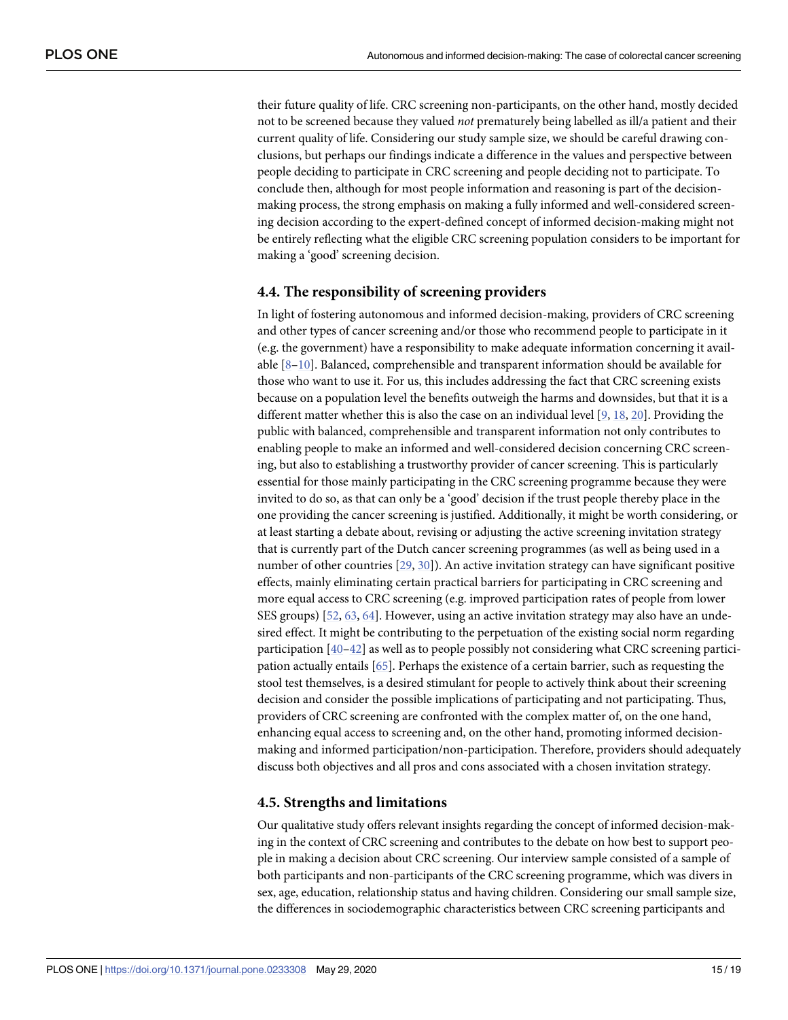<span id="page-14-0"></span>their future quality of life. CRC screening non-participants, on the other hand, mostly decided not to be screened because they valued *not* prematurely being labelled as ill/a patient and their current quality of life. Considering our study sample size, we should be careful drawing conclusions, but perhaps our findings indicate a difference in the values and perspective between people deciding to participate in CRC screening and people deciding not to participate. To conclude then, although for most people information and reasoning is part of the decisionmaking process, the strong emphasis on making a fully informed and well-considered screening decision according to the expert-defined concept of informed decision-making might not be entirely reflecting what the eligible CRC screening population considers to be important for making a 'good' screening decision.

## **4.4. The responsibility of screening providers**

In light of fostering autonomous and informed decision-making, providers of CRC screening and other types of cancer screening and/or those who recommend people to participate in it (e.g. the government) have a responsibility to make adequate information concerning it available [[8](#page-16-0)–[10](#page-16-0)]. Balanced, comprehensible and transparent information should be available for those who want to use it. For us, this includes addressing the fact that CRC screening exists because on a population level the benefits outweigh the harms and downsides, but that it is a different matter whether this is also the case on an individual level [\[9](#page-16-0), [18](#page-17-0), [20](#page-17-0)]. Providing the public with balanced, comprehensible and transparent information not only contributes to enabling people to make an informed and well-considered decision concerning CRC screening, but also to establishing a trustworthy provider of cancer screening. This is particularly essential for those mainly participating in the CRC screening programme because they were invited to do so, as that can only be a 'good' decision if the trust people thereby place in the one providing the cancer screening is justified. Additionally, it might be worth considering, or at least starting a debate about, revising or adjusting the active screening invitation strategy that is currently part of the Dutch cancer screening programmes (as well as being used in a number of other countries [[29](#page-17-0), [30](#page-17-0)]). An active invitation strategy can have significant positive effects, mainly eliminating certain practical barriers for participating in CRC screening and more equal access to CRC screening (e.g. improved participation rates of people from lower SES groups) [[52](#page-18-0), [63](#page-18-0), [64](#page-18-0)]. However, using an active invitation strategy may also have an undesired effect. It might be contributing to the perpetuation of the existing social norm regarding participation [\[40–42](#page-17-0)] as well as to people possibly not considering what CRC screening participation actually entails [\[65\]](#page-18-0). Perhaps the existence of a certain barrier, such as requesting the stool test themselves, is a desired stimulant for people to actively think about their screening decision and consider the possible implications of participating and not participating. Thus, providers of CRC screening are confronted with the complex matter of, on the one hand, enhancing equal access to screening and, on the other hand, promoting informed decisionmaking and informed participation/non-participation. Therefore, providers should adequately discuss both objectives and all pros and cons associated with a chosen invitation strategy.

## **4.5. Strengths and limitations**

Our qualitative study offers relevant insights regarding the concept of informed decision-making in the context of CRC screening and contributes to the debate on how best to support people in making a decision about CRC screening. Our interview sample consisted of a sample of both participants and non-participants of the CRC screening programme, which was divers in sex, age, education, relationship status and having children. Considering our small sample size, the differences in sociodemographic characteristics between CRC screening participants and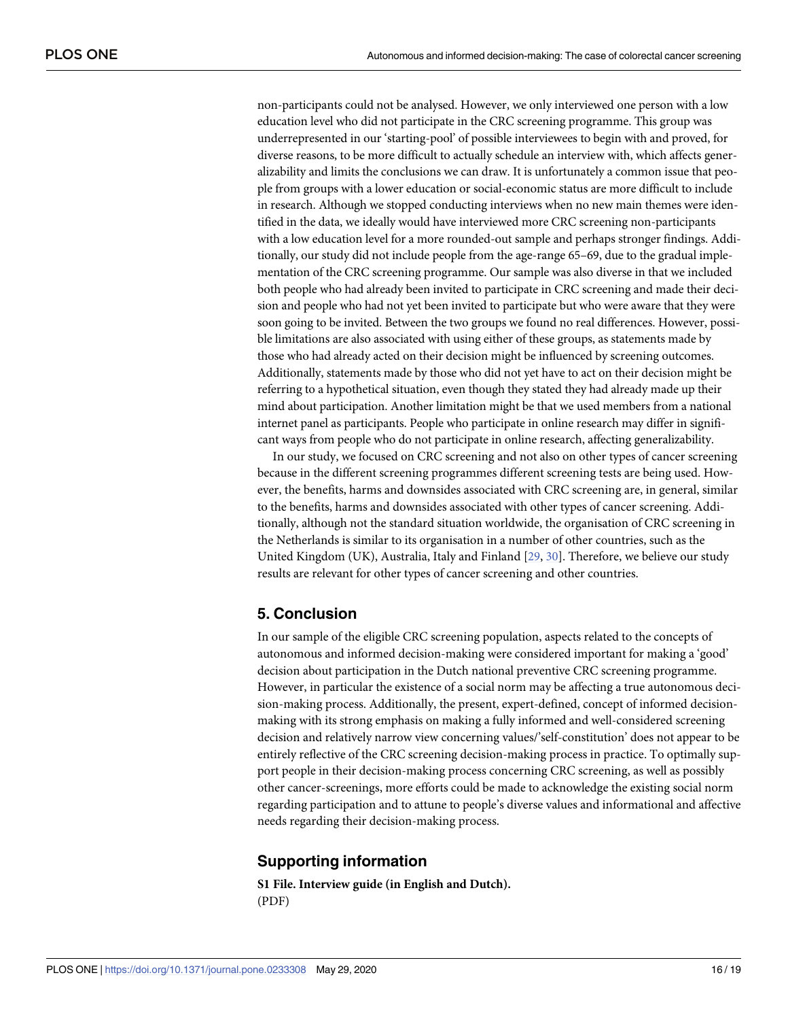<span id="page-15-0"></span>non-participants could not be analysed. However, we only interviewed one person with a low education level who did not participate in the CRC screening programme. This group was underrepresented in our 'starting-pool' of possible interviewees to begin with and proved, for diverse reasons, to be more difficult to actually schedule an interview with, which affects generalizability and limits the conclusions we can draw. It is unfortunately a common issue that people from groups with a lower education or social-economic status are more difficult to include in research. Although we stopped conducting interviews when no new main themes were identified in the data, we ideally would have interviewed more CRC screening non-participants with a low education level for a more rounded-out sample and perhaps stronger findings. Additionally, our study did not include people from the age-range 65–69, due to the gradual implementation of the CRC screening programme. Our sample was also diverse in that we included both people who had already been invited to participate in CRC screening and made their decision and people who had not yet been invited to participate but who were aware that they were soon going to be invited. Between the two groups we found no real differences. However, possible limitations are also associated with using either of these groups, as statements made by those who had already acted on their decision might be influenced by screening outcomes. Additionally, statements made by those who did not yet have to act on their decision might be referring to a hypothetical situation, even though they stated they had already made up their mind about participation. Another limitation might be that we used members from a national internet panel as participants. People who participate in online research may differ in significant ways from people who do not participate in online research, affecting generalizability.

In our study, we focused on CRC screening and not also on other types of cancer screening because in the different screening programmes different screening tests are being used. However, the benefits, harms and downsides associated with CRC screening are, in general, similar to the benefits, harms and downsides associated with other types of cancer screening. Additionally, although not the standard situation worldwide, the organisation of CRC screening in the Netherlands is similar to its organisation in a number of other countries, such as the United Kingdom (UK), Australia, Italy and Finland [\[29,](#page-17-0) [30\]](#page-17-0). Therefore, we believe our study results are relevant for other types of cancer screening and other countries.

# **5. Conclusion**

In our sample of the eligible CRC screening population, aspects related to the concepts of autonomous and informed decision-making were considered important for making a 'good' decision about participation in the Dutch national preventive CRC screening programme. However, in particular the existence of a social norm may be affecting a true autonomous decision-making process. Additionally, the present, expert-defined, concept of informed decisionmaking with its strong emphasis on making a fully informed and well-considered screening decision and relatively narrow view concerning values/'self-constitution' does not appear to be entirely reflective of the CRC screening decision-making process in practice. To optimally support people in their decision-making process concerning CRC screening, as well as possibly other cancer-screenings, more efforts could be made to acknowledge the existing social norm regarding participation and to attune to people's diverse values and informational and affective needs regarding their decision-making process.

# **Supporting information**

**S1 [File.](http://www.plosone.org/article/fetchSingleRepresentation.action?uri=info:doi/10.1371/journal.pone.0233308.s001) Interview guide (in English and Dutch).** (PDF)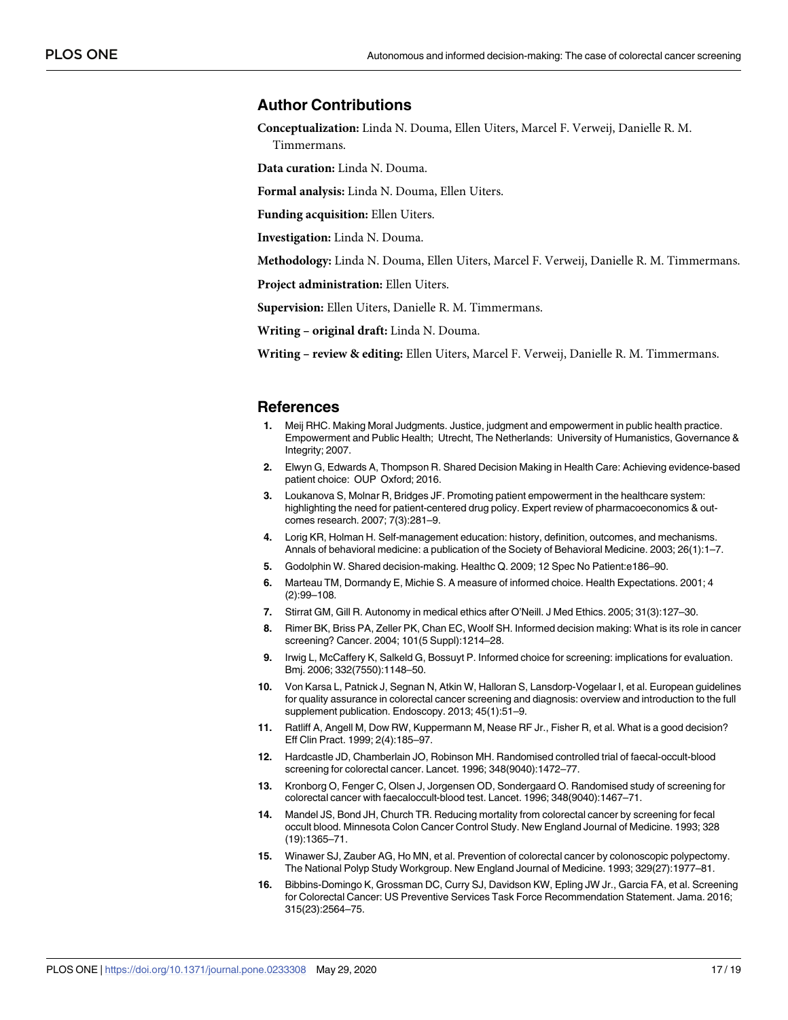## <span id="page-16-0"></span>**Author Contributions**

**Conceptualization:** Linda N. Douma, Ellen Uiters, Marcel F. Verweij, Danielle R. M.

Timmermans.

**Data curation:** Linda N. Douma.

**Formal analysis:** Linda N. Douma, Ellen Uiters.

**Funding acquisition:** Ellen Uiters.

**Investigation:** Linda N. Douma.

**Methodology:** Linda N. Douma, Ellen Uiters, Marcel F. Verweij, Danielle R. M. Timmermans.

**Project administration:** Ellen Uiters.

**Supervision:** Ellen Uiters, Danielle R. M. Timmermans.

**Writing – original draft:** Linda N. Douma.

**Writing – review & editing:** Ellen Uiters, Marcel F. Verweij, Danielle R. M. Timmermans.

#### **References**

- **[1](#page-1-0).** Meij RHC. Making Moral Judgments. Justice, judgment and empowerment in public health practice. Empowerment and Public Health; Utrecht, The Netherlands: University of Humanistics, Governance & Integrity; 2007.
- **[2](#page-1-0).** Elwyn G, Edwards A, Thompson R. Shared Decision Making in Health Care: Achieving evidence-based patient choice: OUP Oxford; 2016.
- **[3](#page-1-0).** Loukanova S, Molnar R, Bridges JF. Promoting patient empowerment in the healthcare system: highlighting the need for patient-centered drug policy. Expert review of pharmacoeconomics & outcomes research. 2007; 7(3):281–9.
- **[4](#page-1-0).** Lorig KR, Holman H. Self-management education: history, definition, outcomes, and mechanisms. Annals of behavioral medicine: a publication of the Society of Behavioral Medicine. 2003; 26(1):1–7.
- **[5](#page-1-0).** Godolphin W. Shared decision-making. Healthc Q. 2009; 12 Spec No Patient:e186–90.
- **[6](#page-1-0).** Marteau TM, Dormandy E, Michie S. A measure of informed choice. Health Expectations. 2001; 4 (2):99–108.
- **[7](#page-1-0).** Stirrat GM, Gill R. Autonomy in medical ethics after O'Neill. J Med Ethics. 2005; 31(3):127–30.
- **[8](#page-1-0).** Rimer BK, Briss PA, Zeller PK, Chan EC, Woolf SH. Informed decision making: What is its role in cancer screening? Cancer. 2004; 101(5 Suppl):1214–28.
- **[9](#page-1-0).** Irwig L, McCaffery K, Salkeld G, Bossuyt P. Informed choice for screening: implications for evaluation. Bmj. 2006; 332(7550):1148–50.
- **[10](#page-1-0).** Von Karsa L, Patnick J, Segnan N, Atkin W, Halloran S, Lansdorp-Vogelaar I, et al. European guidelines for quality assurance in colorectal cancer screening and diagnosis: overview and introduction to the full supplement publication. Endoscopy. 2013; 45(1):51–9.
- **[11](#page-1-0).** Ratliff A, Angell M, Dow RW, Kuppermann M, Nease RF Jr., Fisher R, et al. What is a good decision? Eff Clin Pract. 1999; 2(4):185–97.
- **[12](#page-1-0).** Hardcastle JD, Chamberlain JO, Robinson MH. Randomised controlled trial of faecal-occult-blood screening for colorectal cancer. Lancet. 1996; 348(9040):1472–77.
- **13.** Kronborg O, Fenger C, Olsen J, Jorgensen OD, Sondergaard O. Randomised study of screening for colorectal cancer with faecaloccult-blood test. Lancet. 1996; 348(9040):1467–71.
- **14.** Mandel JS, Bond JH, Church TR. Reducing mortality from colorectal cancer by screening for fecal occult blood. Minnesota Colon Cancer Control Study. New England Journal of Medicine. 1993; 328 (19):1365–71.
- **[15](#page-1-0).** Winawer SJ, Zauber AG, Ho MN, et al. Prevention of colorectal cancer by colonoscopic polypectomy. The National Polyp Study Workgroup. New England Journal of Medicine. 1993; 329(27):1977–81.
- **[16](#page-1-0).** Bibbins-Domingo K, Grossman DC, Curry SJ, Davidson KW, Epling JW Jr., Garcia FA, et al. Screening for Colorectal Cancer: US Preventive Services Task Force Recommendation Statement. Jama. 2016; 315(23):2564–75.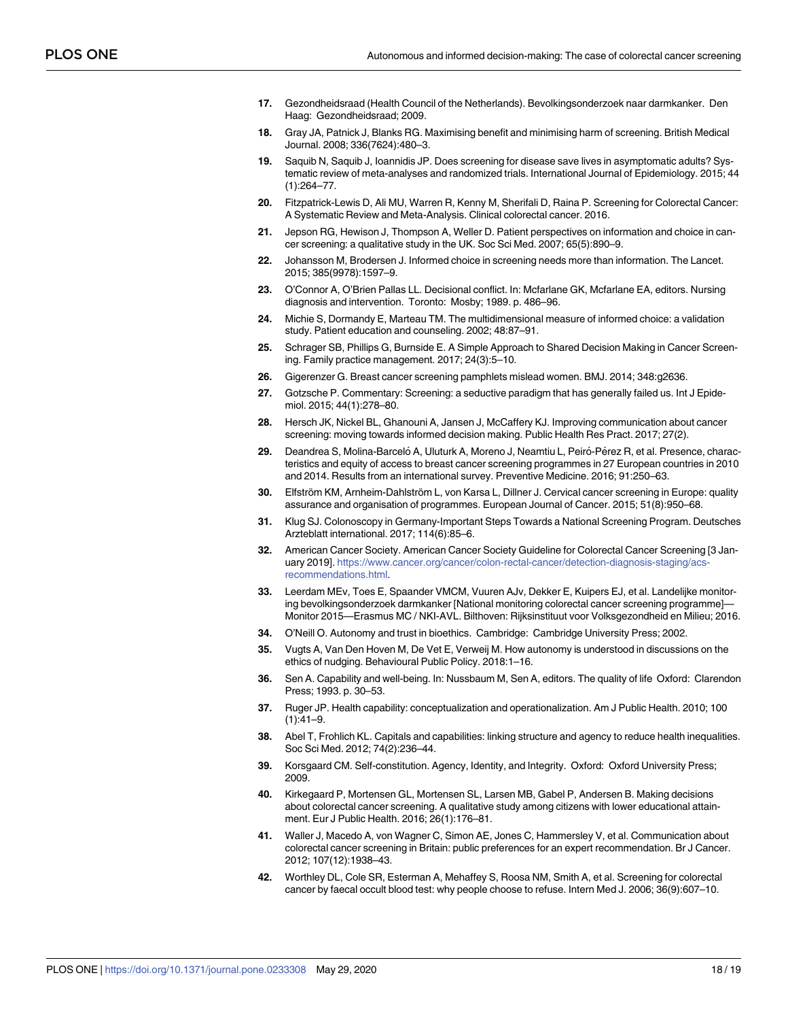- <span id="page-17-0"></span>**17.** Gezondheidsraad (Health Council of the Netherlands). Bevolkingsonderzoek naar darmkanker. Den Haag: Gezondheidsraad; 2009.
- **[18](#page-1-0).** Gray JA, Patnick J, Blanks RG. Maximising benefit and minimising harm of screening. British Medical Journal. 2008; 336(7624):480–3.
- **[19](#page-12-0).** Saquib N, Saquib J, Ioannidis JP. Does screening for disease save lives in asymptomatic adults? Systematic review of meta-analyses and randomized trials. International Journal of Epidemiology. 2015; 44 (1):264–77.
- **[20](#page-1-0).** Fitzpatrick-Lewis D, Ali MU, Warren R, Kenny M, Sherifali D, Raina P. Screening for Colorectal Cancer: A Systematic Review and Meta-Analysis. Clinical colorectal cancer. 2016.
- **[21](#page-1-0).** Jepson RG, Hewison J, Thompson A, Weller D. Patient perspectives on information and choice in cancer screening: a qualitative study in the UK. Soc Sci Med. 2007; 65(5):890–9.
- **[22](#page-1-0).** Johansson M, Brodersen J. Informed choice in screening needs more than information. The Lancet. 2015; 385(9978):1597–9.
- **[23](#page-1-0).** O'Connor A, O'Brien Pallas LL. Decisional conflict. In: Mcfarlane GK, Mcfarlane EA, editors. Nursing diagnosis and intervention. Toronto: Mosby; 1989. p. 486–96.
- **[24](#page-1-0).** Michie S, Dormandy E, Marteau TM. The multidimensional measure of informed choice: a validation study. Patient education and counseling. 2002; 48:87–91.
- **[25](#page-1-0).** Schrager SB, Phillips G, Burnside E. A Simple Approach to Shared Decision Making in Cancer Screening. Family practice management. 2017; 24(3):5–10.
- **[26](#page-2-0).** Gigerenzer G. Breast cancer screening pamphlets mislead women. BMJ. 2014; 348:g2636.
- **27.** Gotzsche P. Commentary: Screening: a seductive paradigm that has generally failed us. Int J Epidemiol. 2015; 44(1):278–80.
- **[28](#page-2-0).** Hersch JK, Nickel BL, Ghanouni A, Jansen J, McCaffery KJ. Improving communication about cancer screening: moving towards informed decision making. Public Health Res Pract. 2017; 27(2).
- **[29](#page-2-0).** Deandrea S, Molina-Barceló A, Uluturk A, Moreno J, Neamtiu L, Peiró-Pérez R, et al. Presence, characteristics and equity of access to breast cancer screening programmes in 27 European countries in 2010 and 2014. Results from an international survey. Preventive Medicine. 2016; 91:250–63.
- **[30](#page-2-0).** Elfström KM, Arnheim-Dahlström L, von Karsa L, Dillner J. Cervical cancer screening in Europe: quality assurance and organisation of programmes. European Journal of Cancer. 2015; 51(8):950–68.
- **[31](#page-2-0).** Klug SJ. Colonoscopy in Germany-Important Steps Towards a National Screening Program. Deutsches Arzteblatt international. 2017; 114(6):85–6.
- **[32](#page-2-0).** American Cancer Society. American Cancer Society Guideline for Colorectal Cancer Screening [3 January 2019]. [https://www.cancer.org/cancer/colon-rectal-cancer/detection-diagnosis-staging/acs](https://www.cancer.org/cancer/colon-rectal-cancer/detection-diagnosis-staging/acs-recommendations.html)[recommendations.html](https://www.cancer.org/cancer/colon-rectal-cancer/detection-diagnosis-staging/acs-recommendations.html).
- **[33](#page-2-0).** Leerdam MEv, Toes E, Spaander VMCM, Vuuren AJv, Dekker E, Kuipers EJ, et al. Landelijke monitoring bevolkingsonderzoek darmkanker [National monitoring colorectal cancer screening programme]— Monitor 2015—Erasmus MC / NKI-AVL. Bilthoven: Rijksinstituut voor Volksgezondheid en Milieu; 2016.
- **[34](#page-2-0).** O'Neill O. Autonomy and trust in bioethics. Cambridge: Cambridge University Press; 2002.
- **[35](#page-2-0).** Vugts A, Van Den Hoven M, De Vet E, Verweij M. How autonomy is understood in discussions on the ethics of nudging. Behavioural Public Policy. 2018:1–16.
- **[36](#page-4-0).** Sen A. Capability and well-being. In: Nussbaum M, Sen A, editors. The quality of life Oxford: Clarendon Press; 1993. p. 30–53.
- **[37](#page-4-0).** Ruger JP. Health capability: conceptualization and operationalization. Am J Public Health. 2010; 100  $(1):41-9.$
- **[38](#page-2-0).** Abel T, Frohlich KL. Capitals and capabilities: linking structure and agency to reduce health inequalities. Soc Sci Med. 2012; 74(2):236–44.
- **[39](#page-2-0).** Korsgaard CM. Self-constitution. Agency, Identity, and Integrity. Oxford: Oxford University Press; 2009.
- **[40](#page-3-0).** Kirkegaard P, Mortensen GL, Mortensen SL, Larsen MB, Gabel P, Andersen B. Making decisions about colorectal cancer screening. A qualitative study among citizens with lower educational attainment. Eur J Public Health. 2016; 26(1):176–81.
- **[41](#page-3-0).** Waller J, Macedo A, von Wagner C, Simon AE, Jones C, Hammersley V, et al. Communication about colorectal cancer screening in Britain: public preferences for an expert recommendation. Br J Cancer. 2012; 107(12):1938–43.
- **[42](#page-3-0).** Worthley DL, Cole SR, Esterman A, Mehaffey S, Roosa NM, Smith A, et al. Screening for colorectal cancer by faecal occult blood test: why people choose to refuse. Intern Med J. 2006; 36(9):607–10.